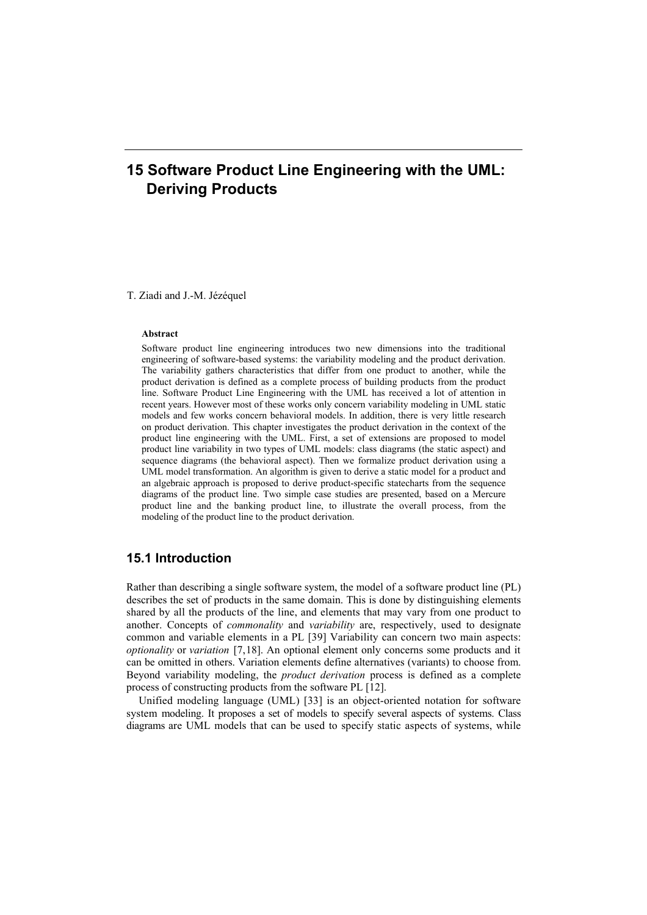# **15 Software Product Line Engineering with the UML: Deriving Products**

T. Ziadi and J.-M. Jézéquel

#### **Abstract**

Software product line engineering introduces two new dimensions into the traditional engineering of software-based systems: the variability modeling and the product derivation. The variability gathers characteristics that differ from one product to another, while the product derivation is defined as a complete process of building products from the product line. Software Product Line Engineering with the UML has received a lot of attention in recent years. However most of these works only concern variability modeling in UML static models and few works concern behavioral models. In addition, there is very little research on product derivation. This chapter investigates the product derivation in the context of the product line engineering with the UML. First, a set of extensions are proposed to model product line variability in two types of UML models: class diagrams (the static aspect) and sequence diagrams (the behavioral aspect). Then we formalize product derivation using a UML model transformation. An algorithm is given to derive a static model for a product and an algebraic approach is proposed to derive product-specific statecharts from the sequence diagrams of the product line. Two simple case studies are presented, based on a Mercure product line and the banking product line, to illustrate the overall process, from the modeling of the product line to the product derivation.

## **15.1 Introduction**

Rather than describing a single software system, the model of a software product line (PL) describes the set of products in the same domain. This is done by distinguishing elements shared by all the products of the line, and elements that may vary from one product to another. Concepts of *commonality* and *variability* are, respectively, used to designate common and variable elements in a PL [39] Variability can concern two main aspects: can be omitted in others. Variation elements define alternatives (variants) to choose from. Beyond variability modeling, the *product derivation* process is defined as a complete process of constructing products from the software PL [12]. *optionality* or *variation* [7,18]. An optional element only concerns some products and it

Unified modeling language (UML) [33] is an object-oriented notation for software system modeling. It proposes a set of models to specify several aspects of systems. Class diagrams are UML models that can be used to specify static aspects of systems, while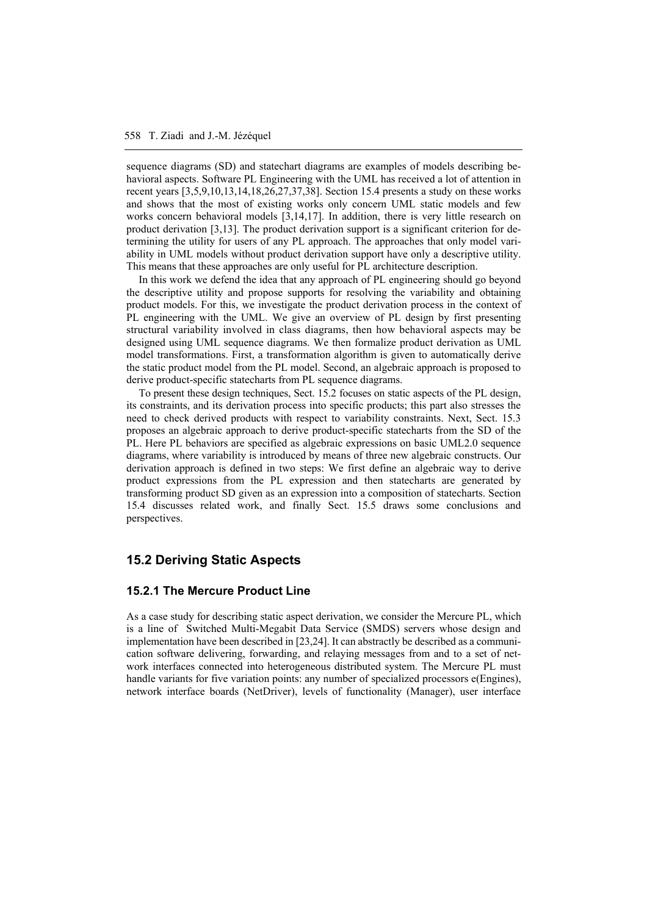sequence diagrams (SD) and statechart diagrams are examples of models describing behavioral aspects. Software PL Engineering with the UML has received a lot of attention in recent years [3,5,9,10,13,14,18,26,27,37,38]. Section 15.4 presents a study on these works and shows that the most of existing works only concern UML static models and few works concern behavioral models [3,14,17]. In addition, there is very little research on product derivation [3,13]. The product derivation support is a significant criterion for determining the utility for users of any PL approach. The approaches that only model variability in UML models without product derivation support have only a descriptive utility. This means that these approaches are only useful for PL architecture description.

 In this work we defend the idea that any approach of PL engineering should go beyond the descriptive utility and propose supports for resolving the variability and obtaining product models. For this, we investigate the product derivation process in the context of PL engineering with the UML. We give an overview of PL design by first presenting structural variability involved in class diagrams, then how behavioral aspects may be designed using UML sequence diagrams. We then formalize product derivation as UML model transformations. First, a transformation algorithm is given to automatically derive the static product model from the PL model. Second, an algebraic approach is proposed to derive product-specific statecharts from PL sequence diagrams.

To present these design techniques, Sect. 15.2 focuses on static aspects of the PL design, its constraints, and its derivation process into specific products; this part also stresses the need to check derived products with respect to variability constraints. Next, Sect. 15.3 proposes an algebraic approach to derive product-specific statecharts from the SD of the PL. Here PL behaviors are specified as algebraic expressions on basic UML2.0 sequence diagrams, where variability is introduced by means of three new algebraic constructs. Our derivation approach is defined in two steps: We first define an algebraic way to derive product expressions from the PL expression and then statecharts are generated by transforming product SD given as an expression into a composition of statecharts. Section 15.4 discusses related work, and finally Sect. 15.5 draws some conclusions and perspectives.

## **15.2 Deriving Static Aspects**

## **15.2.1 The Mercure Product Line**

cation software delivering, forwarding, and relaying messages from and to a set of network interfaces connected into heterogeneous distributed system. The Mercure PL must handle variants for five variation points: any number of specialized processors e(Engines), network interface boards (NetDriver), levels of functionality (Manager), user interface As a case study for describing static aspect derivation, we consider the Mercure PL, which implementation have been described in [23,24]. It can abstractly be described as a communiis a line of Switched Multi-Megabit Data Service (SMDS) servers whose design and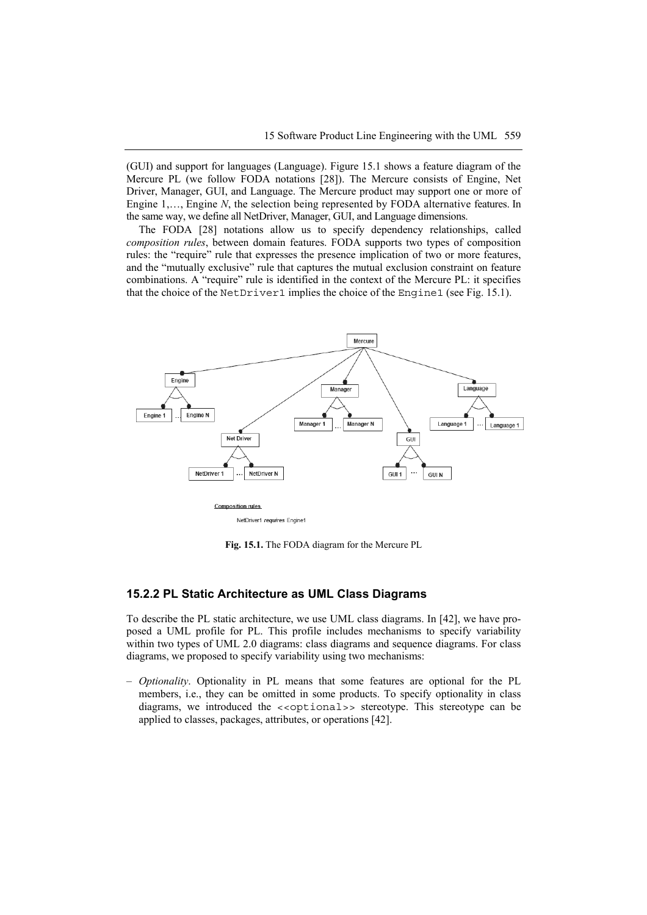(GUI) and support for languages (Language). Figure 15.1 shows a feature diagram of the Mercure PL (we follow FODA notations [28]). The Mercure consists of Engine, Net Driver, Manager, GUI, and Language. The Mercure product may support one or more of Engine 1,..., Engine *N*, the selection being represented by FODA alternative features. In the same way, we define all NetDriver, Manager, GUI, and Language dimensions.

The FODA [28] notations allow us to specify dependency relationships, called *composition rules*, between domain features. FODA supports two types of composition rules: the "require" rule that expresses the presence implication of two or more features, and the "mutually exclusive" rule that captures the mutual exclusion constraint on feature combinations. A "require" rule is identified in the context of the Mercure PL: it specifies that the choice of the NetDriver1 implies the choice of the Engine1 (see Fig. 15.1).



**Fig. 15.1.** The FODA diagram for the Mercure PL

## **15.2.2 PL Static Architecture as UML Class Diagrams**

To describe the PL static architecture, we use UML class diagrams. In [42], we have proposed a UML profile for PL. This profile includes mechanisms to specify variability within two types of UML 2.0 diagrams: class diagrams and sequence diagrams. For class diagrams, we proposed to specify variability using two mechanisms:

*– Optionality*. Optionality in PL means that some features are optional for the PL members, i.e., they can be omitted in some products. To specify optionality in class diagrams, we introduced the  $\le$ optional>> stereotype. This stereotype can be applied to classes, packages, attributes, or operations [42].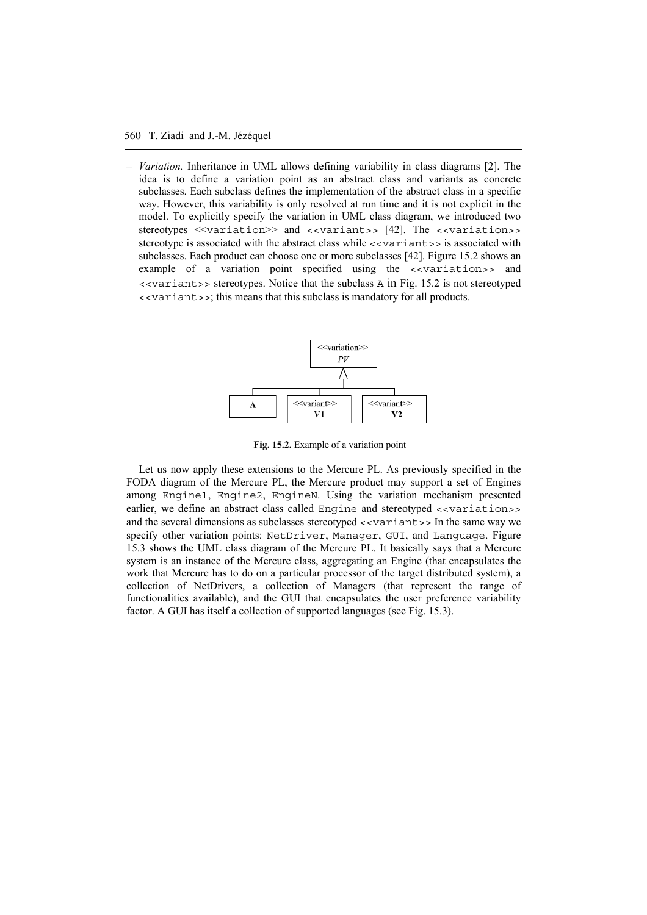*– Variation.* Inheritance in UML allows defining variability in class diagrams [2]. The idea is to define a variation point as an abstract class and variants as concrete subclasses. Each subclass defines the implementation of the abstract class in a specific way. However, this variability is only resolved at run time and it is not explicit in the model. To explicitly specify the variation in UML class diagram, we introduced two stereotypes <<variation>> and <<variant>> [42]. The <<variation>> stereotype is associated with the abstract class while  $\langle$ variant>> is associated with subclasses. Each product can choose one or more subclasses [42]. Figure 15.2 shows an example of a variation point specified using the <<variation>> and  $\le$ variant>> stereotypes. Notice that the subclass A in Fig. 15.2 is not stereotyped <<variant>>; this means that this subclass is mandatory for all products.



**Fig. 15.2.** Example of a variation point

Let us now apply these extensions to the Mercure PL. As previously specified in the FODA diagram of the Mercure PL, the Mercure product may support a set of Engines among Engine1, Engine2, EngineN. Using the variation mechanism presented earlier, we define an abstract class called Engine and stereotyped <<variation>> and the several dimensions as subclasses stereotyped <<variant>> In the same way we specify other variation points: NetDriver, Manager, GUI, and Language. Figure 15.3 shows the UML class diagram of the Mercure PL. It basically says that a Mercure system is an instance of the Mercure class, aggregating an Engine (that encapsulates the work that Mercure has to do on a particular processor of the target distributed system), a collection of NetDrivers, a collection of Managers (that represent the range of functionalities available), and the GUI that encapsulates the user preference variability factor. A GUI has itself a collection of supported languages (see Fig. 15.3).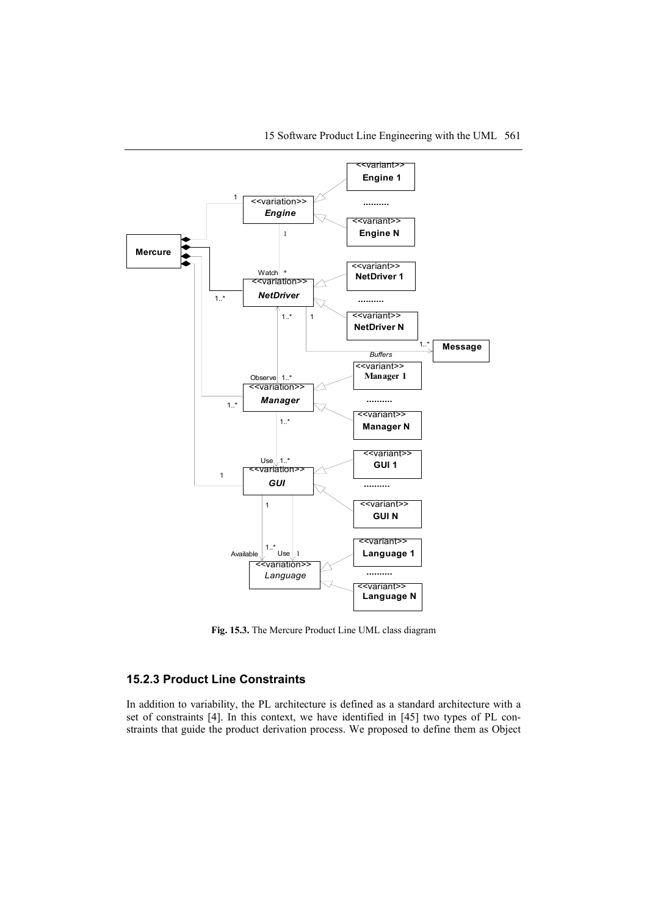

**Fig. 15.3.** The Mercure Product Line UML class diagram

## **15.2.3 Product Line Constraints**

In addition to variability, the PL architecture is defined as a standard architecture with a set of constraints [4]. In this context, we have identified in [45] two types of PL constraints that guide the product derivation process. We proposed to define them as Object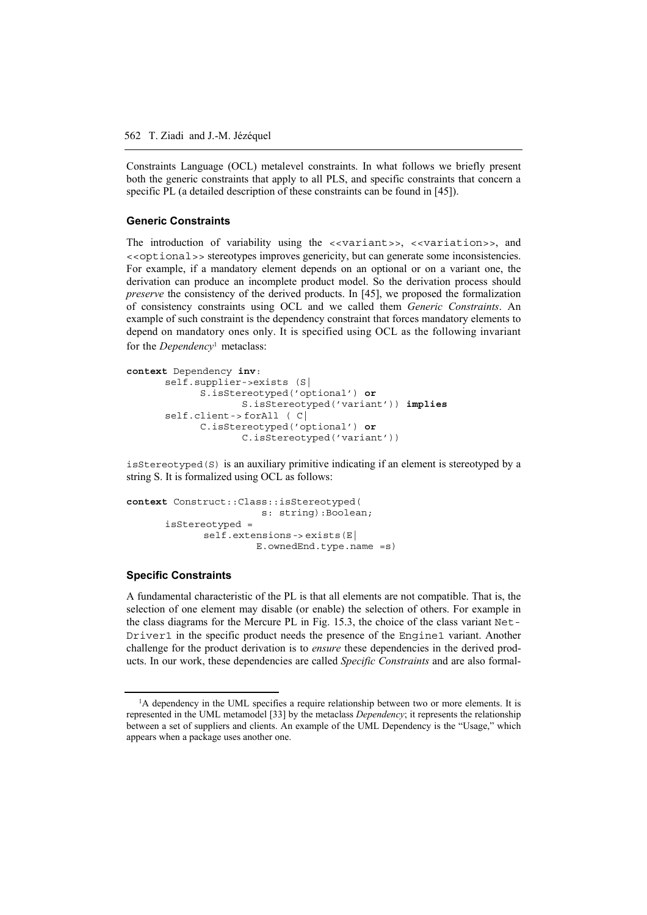both the generic constraints that apply to all PLS, and specific constraints that concern a specific PL (a detailed description of these constraints can be found in [45]). Constraints Language (OCL) metalevel constraints. In what follows we briefly present

### **Generic Constraints**

The introduction of variability using the <<variant>>, <<variation>>, and <<optional>> stereotypes improves genericity, but can generate some inconsistencies. For example, if a mandatory element depends on an optional or on a variant one, the derivation can produce an incomplete product model. So the derivation process should *preserve* the consistency of the derived products. In [45], we proposed the formalization of consistency constraints using OCL and we called them *Generic Constraints*. An example of such constraint is the dependency constraint that forces mandatory elements to depend on mandatory ones only. It is specified using OCL as the following invariant for the *Dependency*1 metaclass:

```
context Dependency inv: 
              S.isStereotyped('optional') or
                    S.isStereotyped('variant')) implies
      self.client -> forAll ( C| 
              C.isStereotyped('optional') or
                    C.isStereotyped('variant')) 
      self.supplier->exists (S|
```
isStereotyped(S) is an auxiliary primitive indicating if an element is stereotyped by a string S. It is formalized using OCL as follows:

```
context Construct::Class::isStereotyped( 
                         s: string):Boolean; 
       isStereotyped = 
             self.extensions-> exists(E|
                        E.ownedEnd.type.name =s)
```
### **Specific Constraints**

A fundamental characteristic of the PL is that all elements are not compatible. That is, the selection of one element may disable (or enable) the selection of others. For example in the class diagrams for the Mercure PL in Fig. 15.3, the choice of the class variant Net-Driver1 in the specific product needs the presence of the Engine1 variant. Another challenge for the product derivation is to *ensure* these dependencies in the derived products. In our work, these dependencies are called *Specific Constraints* and are also formal-

<sup>&</sup>lt;sup>1</sup>A dependency in the UML specifies a require relationship between two or more elements. It is represented in the UML metamodel [33] by the metaclass *Dependency*; it represents the relationship between a set of suppliers and clients. An example of the UML Dependency is the "Usage," which appears when a package uses another one.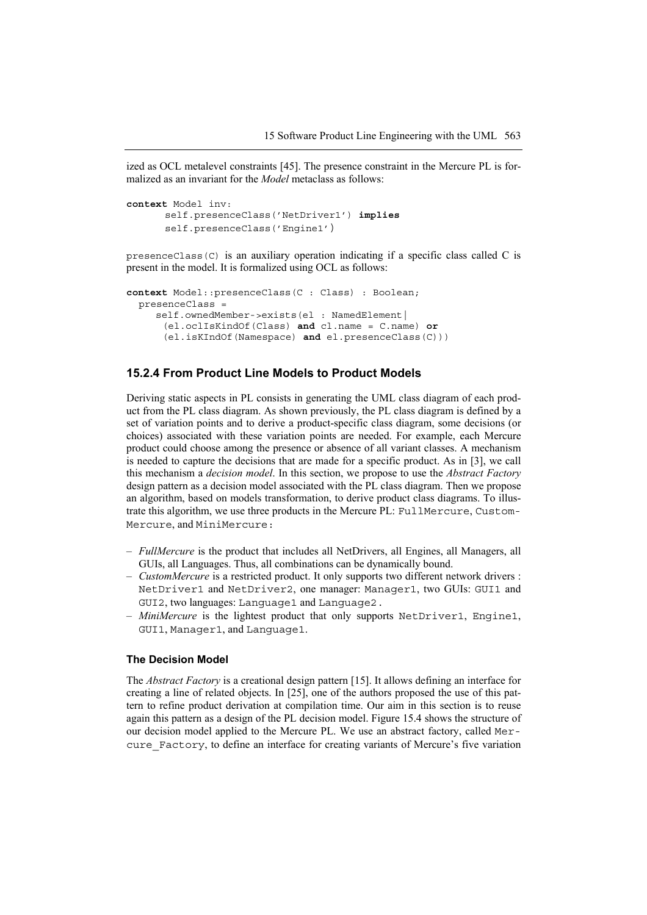ized as OCL metalevel constraints [45]. The presence constraint in the Mercure PL is formalized as an invariant for the *Model* metaclass as follows:

```
context Model inv: 
      self.presenceClass('NetDriver1') implies
      self.presenceClass('Engine1')
```
presenceClass(C) is an auxiliary operation indicating if a specific class called C is present in the model. It is formalized using OCL as follows:

```
context Model::presenceClass(C : Class) : Boolean; 
  presenceClass = 
     self.ownedMember->exists(el : NamedElement|
       (el.oclIsKindOf(Class) and cl.name = C.name) or
       (el.isKIndOf(Namespace) and el.presenceClass(C)))
```
## **15.2.4 From Product Line Models to Product Models**

Deriving static aspects in PL consists in generating the UML class diagram of each product from the PL class diagram. As shown previously, the PL class diagram is defined by a set of variation points and to derive a product-specific class diagram, some decisions (or choices) associated with these variation points are needed. For example, each Mercure product could choose among the presence or absence of all variant classes. A mechanism is needed to capture the decisions that are made for a specific product. As in [3], we call this mechanism a *decision model*. In this section, we propose to use the *Abstract Factory* design pattern as a decision model associated with the PL class diagram. Then we propose an algorithm, based on models transformation, to derive product class diagrams. To illustrate this algorithm, we use three products in the Mercure PL: FullMercure, Custom-Mercure, and MiniMercure:

- *FullMercure* is the product that includes all NetDrivers, all Engines, all Managers, all GUIs, all Languages. Thus, all combinations can be dynamically bound.
- *CustomMercure* is a restricted product. It only supports two different network drivers : NetDriver1 and NetDriver2, one manager: Manager1, two GUIs: GUI1 and GUI2, two languages: Language1 and Language2.
- *MiniMercure* is the lightest product that only supports NetDriver1, Engine1, GUI1, Manager1, and Language1.

## **The Decision Model**

The *Abstract Factory* is a creational design pattern [15]. It allows defining an interface for creating a line of related objects. In [25], one of the authors proposed the use of this pattern to refine product derivation at compilation time. Our aim in this section is to reuse again this pattern as a design of the PL decision model. Figure 15.4 shows the structure of our decision model applied to the Mercure PL. We use an abstract factory, called Mercure\_Factory, to define an interface for creating variants of Mercure's five variation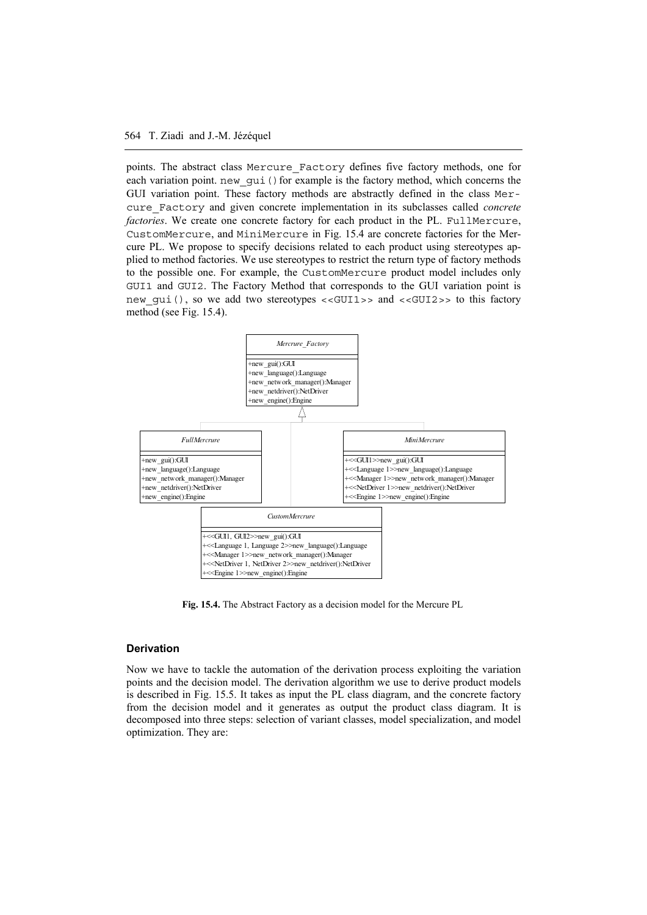points. The abstract class Mercure\_Factory defines five factory methods, one for each variation point. new qui () for example is the factory method, which concerns the GUI variation point. These factory methods are abstractly defined in the class Mercure\_Factory and given concrete implementation in its subclasses called *concrete factories*. We create one concrete factory for each product in the PL. FullMercure, CustomMercure, and MiniMercure in Fig. 15.4 are concrete factories for the Mercure PL. We propose to specify decisions related to each product using stereotypes applied to method factories. We use stereotypes to restrict the return type of factory methods to the possible one. For example, the CustomMercure product model includes only GUI1 and GUI2. The Factory Method that corresponds to the GUI variation point is new gui(), so we add two stereotypes <<GUI1>> and <<GUI2>> to this factory method (see Fig. 15.4).



**Fig. 15.4.** The Abstract Factory as a decision model for the Mercure PL

#### **Derivation**

Now we have to tackle the automation of the derivation process exploiting the variation points and the decision model. The derivation algorithm we use to derive product models is described in Fig. 15.5. It takes as input the PL class diagram, and the concrete factory from the decision model and it generates as output the product class diagram. It is decomposed into three steps: selection of variant classes, model specialization, and model optimization. They are: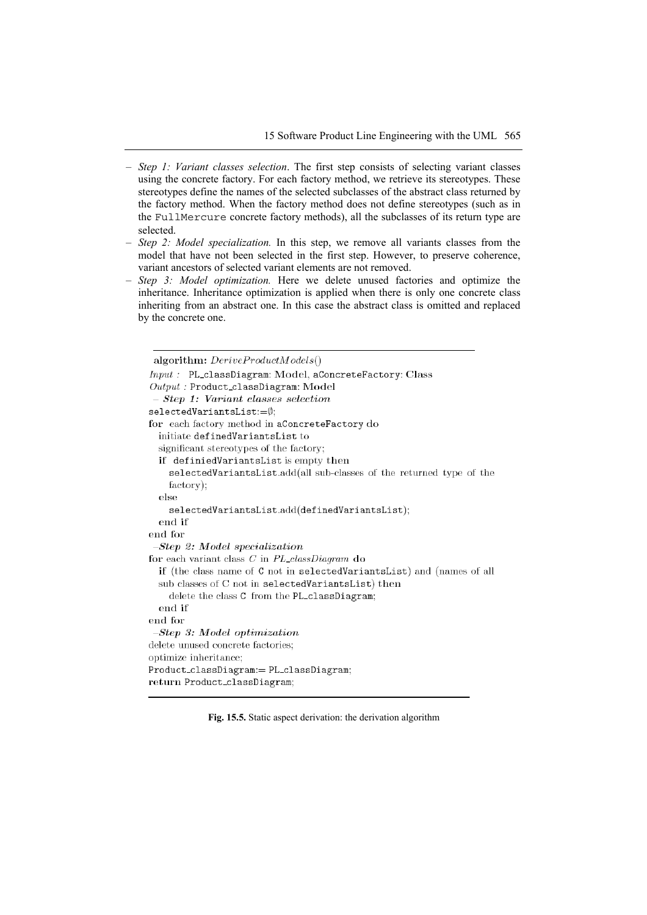- *Step 1: Variant classes selection*. The first step consists of selecting variant classes using the concrete factory. For each factory method, we retrieve its stereotypes. These stereotypes define the names of the selected subclasses of the abstract class returned by the factory method. When the factory method does not define stereotypes (such as in the FullMercure concrete factory methods), all the subclasses of its return type are selected.
- *Step 2: Model specialization.* In this step, we remove all variants classes from the model that have not been selected in the first step. However, to preserve coherence, variant ancestors of selected variant elements are not removed.
- *Step 3: Model optimization.* Here we delete unused factories and optimize the inheritance. Inheritance optimization is applied when there is only one concrete class inheriting from an abstract one. In this case the abstract class is omitted and replaced by the concrete one.

```
algorithm: DeriveProductModels()Input: PL_classDiagram: Model, aConcreteFactory: Class
Output: Product_classDiagram: Model
 - Step 1: Variant classes selection
selectedVariantsList:=\emptyset;for each factory method in aConcreteFactory do
  initiate definedVariantsList to
  significant stereotypes of the factory;
  if definiedVariantsList is empty then
    selectedVariantsList.add(all sub-classes of the returned type of the
    factory):
  else
    selectedVariantsList.add(definedVariantsList);
  end if
end for
 -Step 2: Model specialization
for each variant class C in PL\_classDiagram do
  if (the class name of C not in selectedVariantsList) and (names of all
  sub classes of C not in selectedVariantsList) then
    delete the class C from the PL_classDiagram;
  end if
end for
 -Step\ 3: Model optimization
delete unused concrete factories;
optimize inheritance;
Product_classDiagram:= PL_classDiagram;
return Product_classDiagram;
```
**Fig. 15.5.** Static aspect derivation: the derivation algorithm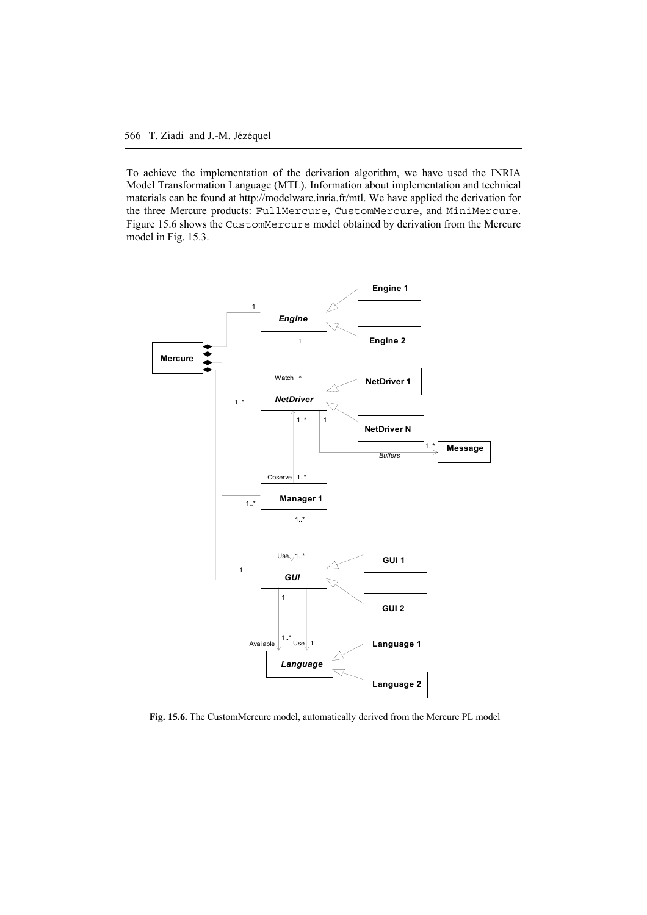To achieve the implementation of the derivation algorithm, we have used the INRIA Model Transformation Language (MTL). Information about implementation and technical materials can be found at http://modelware.inria.fr/mtl. We have applied the derivation for the three Mercure products: FullMercure, CustomMercure, and MiniMercure. Figure 15.6 shows the CustomMercure model obtained by derivation from the Mercure model in Fig. 15.3.



**Fig. 15.6.** The CustomMercure model, automatically derived from the Mercure PL model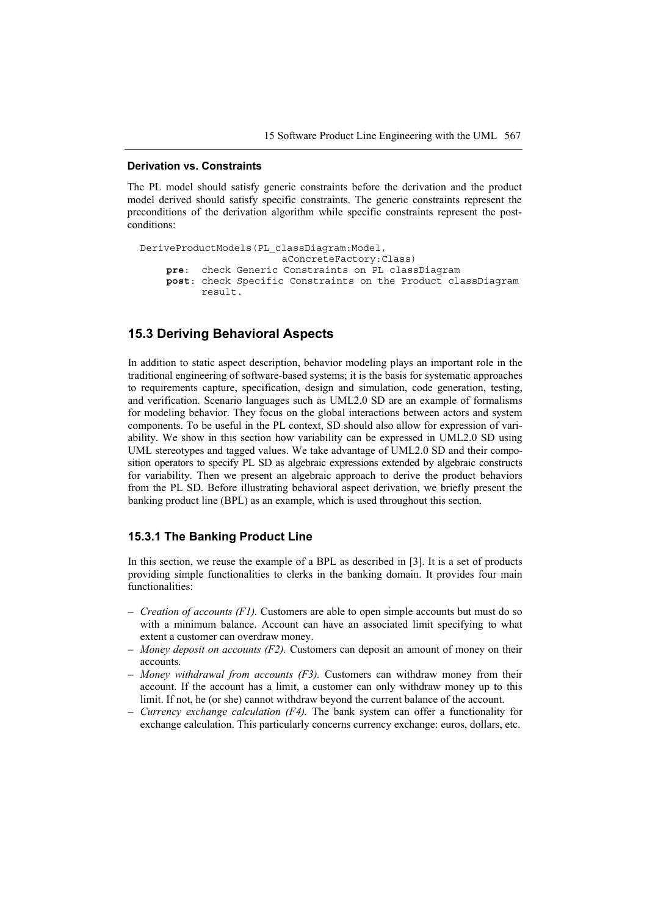#### **Derivation vs. Constraints**

The PL model should satisfy generic constraints before the derivation and the product model derived should satisfy specific constraints. The generic constraints represent the preconditions of the derivation algorithm while specific constraints represent the postconditions:

```
DeriveProductModels(PL_classDiagram:Model, 
                        aConcreteFactory:Class) 
    pre: check Generic Constraints on PL classDiagram 
    post: check Specific Constraints on the Product classDiagram 
           result.
```
## **15.3 Deriving Behavioral Aspects**

In addition to static aspect description, behavior modeling plays an important role in the traditional engineering of software-based systems; it is the basis for systematic approaches to requirements capture, specification, design and simulation, code generation, testing, and verification. Scenario languages such as UML2.0 SD are an example of formalisms for modeling behavior. They focus on the global interactions between actors and system components. To be useful in the PL context, SD should also allow for expression of variability. We show in this section how variability can be expressed in UML2.0 SD using UML stereotypes and tagged values. We take advantage of UML2.0 SD and their composition operators to specify PL SD as algebraic expressions extended by algebraic constructs for variability. Then we present an algebraic approach to derive the product behaviors from the PL SD. Before illustrating behavioral aspect derivation, we briefly present the banking product line (BPL) as an example, which is used throughout this section.

## **15.3.1 The Banking Product Line**

In this section, we reuse the example of a BPL as described in [3]. It is a set of products providing simple functionalities to clerks in the banking domain. It provides four main functionalities:

- *Creation of accounts (F1).* Customers are able to open simple accounts but must do so with a minimum balance. Account can have an associated limit specifying to what extent a customer can overdraw money.
- *Money deposit on accounts (F2).* Customers can deposit an amount of money on their accounts.
- *Money withdrawal from accounts (F3).* Customers can withdraw money from their account. If the account has a limit, a customer can only withdraw money up to this limit. If not, he (or she) cannot withdraw beyond the current balance of the account.
- *Currency exchange calculation (F4).* The bank system can offer a functionality for exchange calculation. This particularly concerns currency exchange: euros, dollars, etc.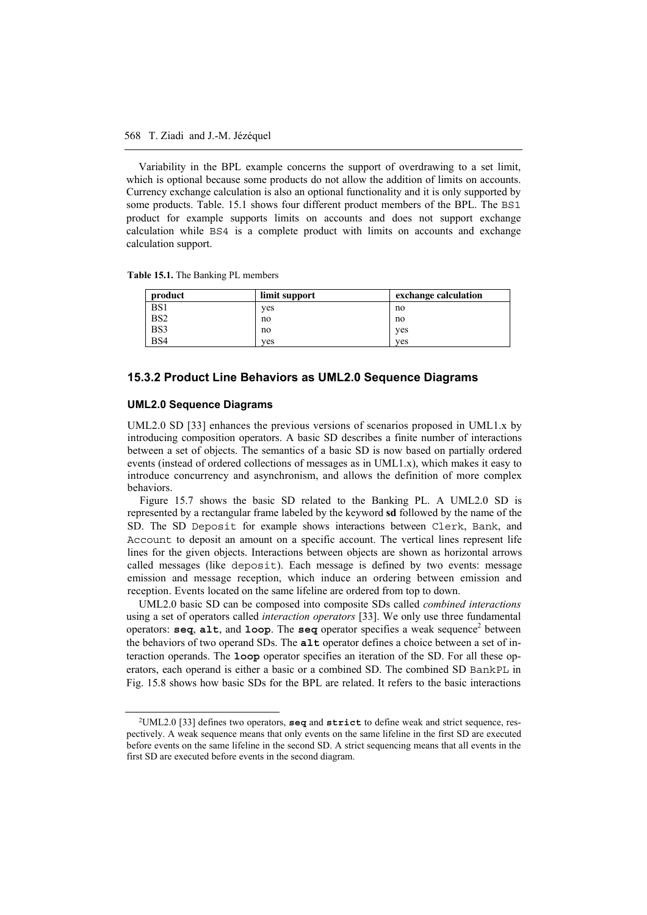Variability in the BPL example concerns the support of overdrawing to a set limit, which is optional because some products do not allow the addition of limits on accounts. Currency exchange calculation is also an optional functionality and it is only supported by some products. Table. 15.1 shows four different product members of the BPL. The BS1 product for example supports limits on accounts and does not support exchange calculation while BS4 is a complete product with limits on accounts and exchange calculation support.

| product         | limit support | exchange calculation |  |
|-----------------|---------------|----------------------|--|
| BS1             | ves           | no                   |  |
| BS <sub>2</sub> | no            | no                   |  |
| BS3             | no            | yes                  |  |
| BS4             | ves           | ves                  |  |

## **15.3.2 Product Line Behaviors as UML2.0 Sequence Diagrams**

#### **UML2.0 Sequence Diagrams**

UML2.0 SD [33] enhances the previous versions of scenarios proposed in UML1.x by introducing composition operators. A basic SD describes a finite number of interactions between a set of objects. The semantics of a basic SD is now based on partially ordered events (instead of ordered collections of messages as in  $UML1.x$ ), which makes it easy to introduce concurrency and asynchronism, and allows the definition of more complex behaviors.

Figure 15.7 shows the basic SD related to the Banking PL. A UML2.0 SD is represented by a rectangular frame labeled by the keyword **sd** followed by the name of the SD. The SD Deposit for example shows interactions between Clerk, Bank, and Account to deposit an amount on a specific account. The vertical lines represent life lines for the given objects. Interactions between objects are shown as horizontal arrows called messages (like deposit). Each message is defined by two events: message emission and message reception, which induce an ordering between emission and reception. Events located on the same lifeline are ordered from top to down.

UML2.0 basic SD can be composed into composite SDs called *combined interactions* using a set of operators called *interaction operators* [33]. We only use three fundamental operators:  $\text{seq}$ ,  $\text{alt}$ , and  $\text{loop}$ . The  $\text{seq}$  operator specifies a weak sequence<sup>2</sup> between the behaviors of two operand SDs. The **alt** operator defines a choice between a set of interaction operands. The **loop** operator specifies an iteration of the SD. For all these operators, each operand is either a basic or a combined SD. The combined SD BankPL in Fig. 15.8 shows how basic SDs for the BPL are related. It refers to the basic interactions

<sup>2</sup>UML2.0 [33] defines two operators, **seq** and **strict** to define weak and strict sequence, respectively. A weak sequence means that only events on the same lifeline in the first SD are executed before events on the same lifeline in the second SD. A strict sequencing means that all events in the first SD are executed before events in the second diagram.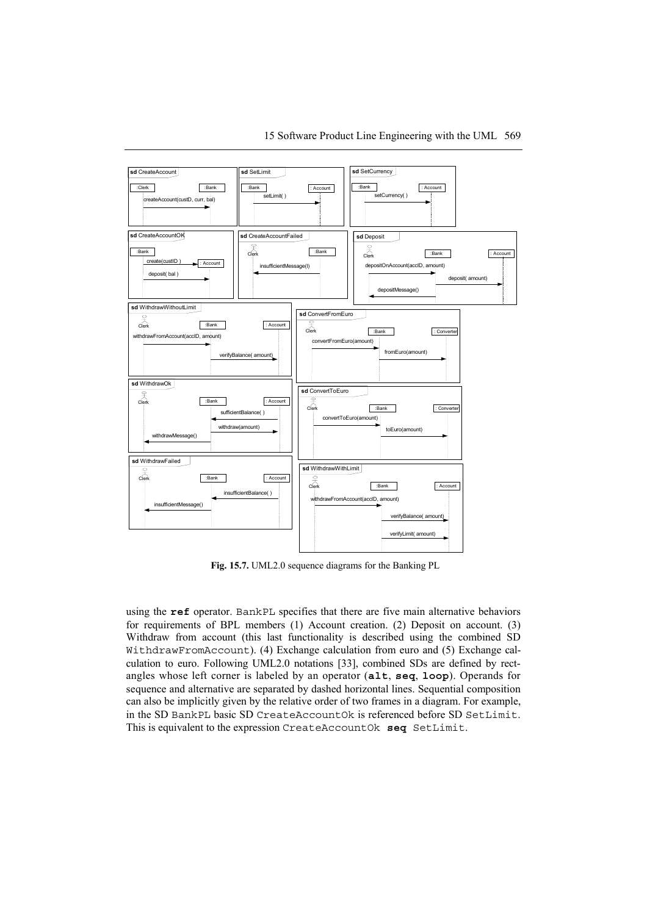

**Fig. 15.7.** UML2.0 sequence diagrams for the Banking PL

using the **ref** operator. BankPL specifies that there are five main alternative behaviors for requirements of BPL members (1) Account creation. (2) Deposit on account. (3) Withdraw from account (this last functionality is described using the combined SD WithdrawFromAccount). (4) Exchange calculation from euro and (5) Exchange calculation to euro. Following UML2.0 notations [33], combined SDs are defined by rectangles whose left corner is labeled by an operator (**alt**, **seq**, **loop**). Operands for sequence and alternative are separated by dashed horizontal lines. Sequential composition can also be implicitly given by the relative order of two frames in a diagram. For example, in the SD BankPL basic SD CreateAccountOk is referenced before SD SetLimit. This is equivalent to the expression CreateAccountOk **seq** SetLimit.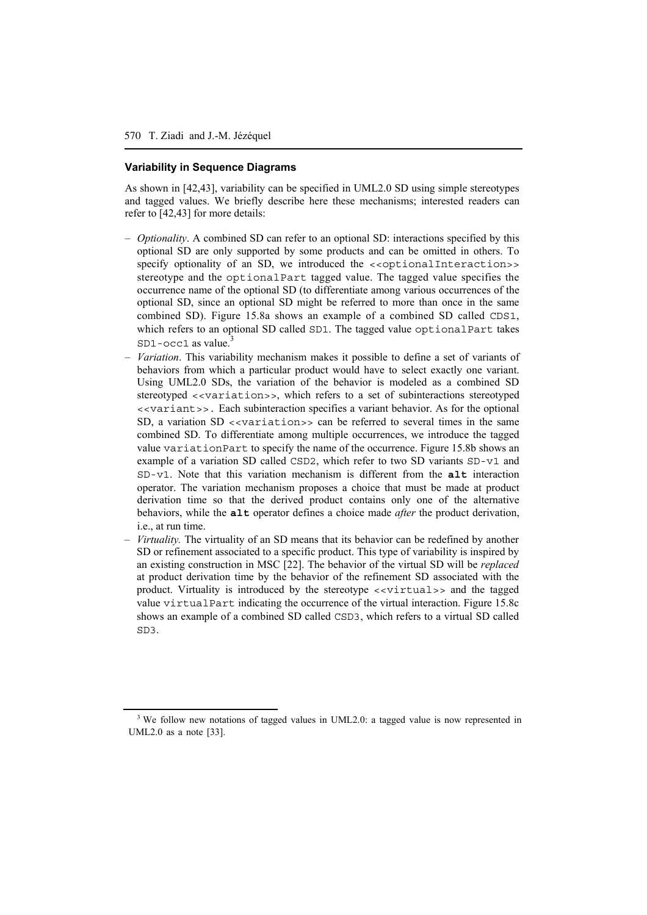ı

#### **Variability in Sequence Diagrams**

As shown in [42,43], variability can be specified in UML2.0 SD using simple stereotypes refer to [42,43] for more details: and tagged values. We briefly describe here these mechanisms; interested readers can

- *Optionality*. A combined SD can refer to an optional SD: interactions specified by this optional SD are only supported by some products and can be omitted in others. To specify optionality of an SD, we introduced the <<optionalInteraction>> stereotype and the optionalPart tagged value. The tagged value specifies the occurrence name of the optional SD (to differentiate among various occurrences of the optional SD, since an optional SD might be referred to more than once in the same combined SD). Figure 15.8a shows an example of a combined SD called CDS1, which refers to an optional SD called SD1. The tagged value optionalPart takes  $SD1$ -occ1 as value.<sup>3</sup>
- *Variation*. This variability mechanism makes it possible to define a set of variants of behaviors from which a particular product would have to select exactly one variant. Using UML2.0 SDs, the variation of the behavior is modeled as a combined SD stereotyped <<variation>>, which refers to a set of subinteractions stereotyped <<variant>>. Each subinteraction specifies a variant behavior. As for the optional SD, a variation SD <<variation>> can be referred to several times in the same combined SD. To differentiate among multiple occurrences, we introduce the tagged value variationPart to specify the name of the occurrence. Figure 15.8b shows an example of a variation SD called CSD2, which refer to two SD variants SD-v1 and SD-v1. Note that this variation mechanism is different from the **alt** interaction operator. The variation mechanism proposes a choice that must be made at product derivation time so that the derived product contains only one of the alternative behaviors, while the **alt** operator defines a choice made *after* the product derivation, i.e., at run time.
- *Virtuality.* The virtuality of an SD means that its behavior can be redefined by another SD or refinement associated to a specific product. This type of variability is inspired by an existing construction in MSC [22]. The behavior of the virtual SD will be *replaced* at product derivation time by the behavior of the refinement SD associated with the product. Virtuality is introduced by the stereotype <<virtual>> and the tagged value virtualPart indicating the occurrence of the virtual interaction. Figure 15.8c shows an example of a combined SD called CSD3, which refers to a virtual SD called SD3.

<sup>&</sup>lt;sup>3</sup> We follow new notations of tagged values in UML2.0: a tagged value is now represented in UML2.0 as a note [33].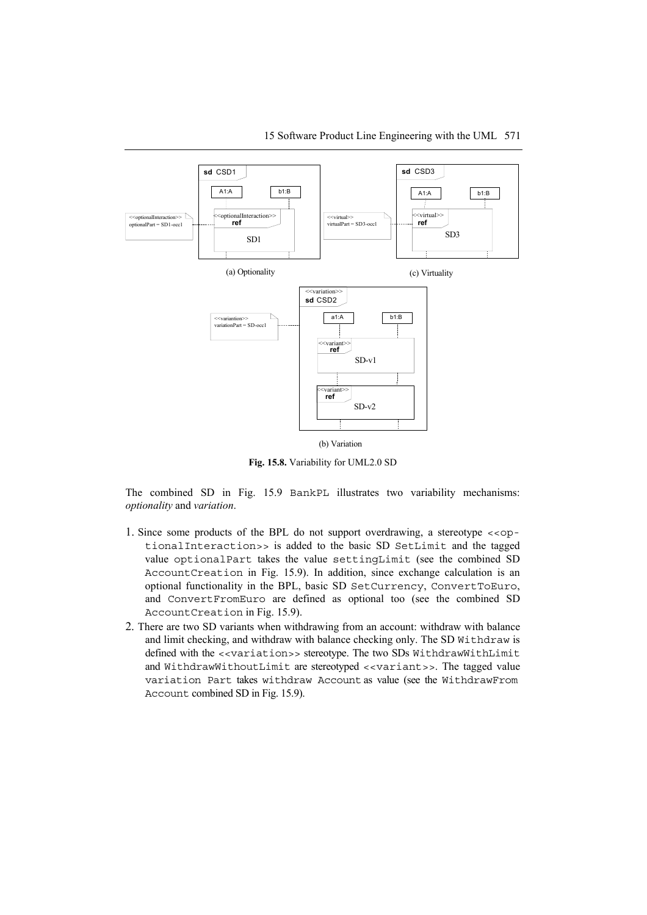

(b) Variation

**ref** <<variant>>

 $SD-v2$ 

**Fig. 15.8.** Variability for UML2.0 SD

The combined SD in Fig. 15.9 BankPL illustrates two variability mechanisms: *optionality* and *variation*.

- 1. Since some products of the BPL do not support overdrawing, a stereotype  $\lt$  $\lt$ optionalInteraction>> is added to the basic SD SetLimit and the tagged value optionalPart takes the value settingLimit (see the combined SD AccountCreation in Fig. 15.9). In addition, since exchange calculation is an optional functionality in the BPL, basic SD SetCurrency, ConvertToEuro, and ConvertFromEuro are defined as optional too (see the combined SD AccountCreation in Fig. 15.9).
- 2. There are two SD variants when withdrawing from an account: withdraw with balance and limit checking, and withdraw with balance checking only. The SD Withdraw is defined with the <<variation>> stereotype. The two SDs WithdrawWithLimit and WithdrawWithoutLimit are stereotyped <<variant>>. The tagged value variation Part takes withdraw Account as value (see the WithdrawFrom Account combined SD in Fig. 15.9).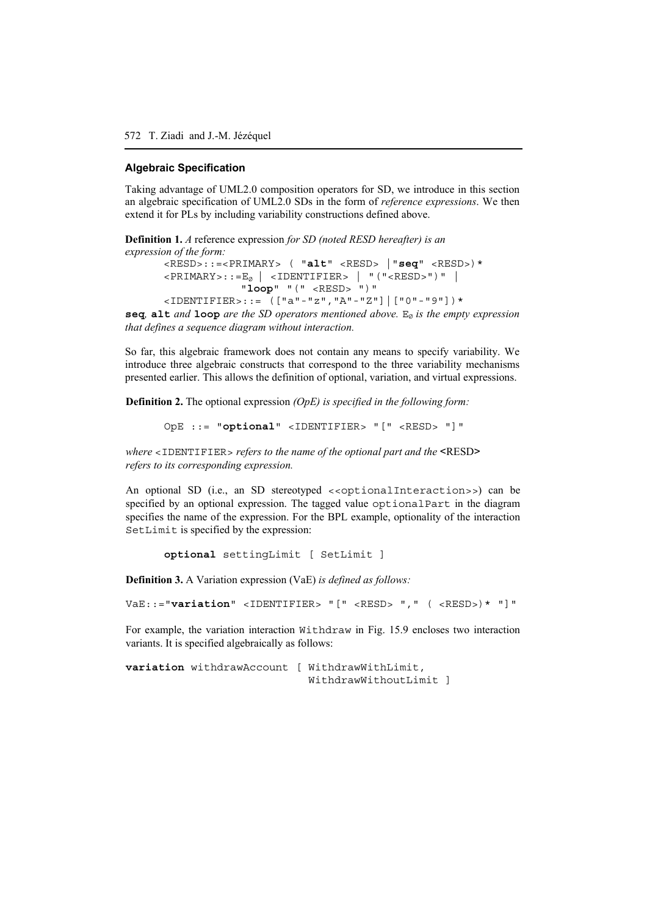#### **Algebraic Specification**

Taking advantage of UML2.0 composition operators for SD, we introduce in this section an algebraic specification of UML2.0 SDs in the form of *reference expressions*. We then extend it for PLs by including variability constructions defined above.

**Definition 1.** *A* reference expression *for SD (noted RESD hereafter) is an expression of the form:* 

```
<RESD>::=<PRIMARY> ( "alt" <RESD> |"seq" <RESD>)* 
\langlePRIMARY>::=E<sub>Ø</sub> | \langleIDENTIFIER> | "("\langleRESD>")" |
              "loop" "(" <RESD> ")" 
<IDENTIFIER>::= (["a"-"z","A"-"Z"]|["0"-"9"])*
```
seq<sub>*,*</sub> alt *and* loop *are the SD operators mentioned above.* E<sub>ø</sub> *is the empty expression that defines a sequence diagram without interaction.* 

So far, this algebraic framework does not contain any means to specify variability. We introduce three algebraic constructs that correspond to the three variability mechanisms presented earlier. This allows the definition of optional, variation, and virtual expressions.

**Definition 2.** The optional expression *(OpE) is specified in the following form:* 

OpE ::= "**optional**" <IDENTIFIER> "[" <RESD> "]"

*where* <IDENTIFIER> *refers to the name of the optional part and the* <RESD> *refers to its corresponding expression.* 

specified by an optional expression. The tagged value optionalPart in the diagram specifies the name of the expression. For the BPL example, optionality of the interaction SetLimit is specified by the expression: An optional SD (i.e., an SD stereotyped <<optionalInteraction>>) can be

```
optional settingLimit [ SetLimit ]
```
**Definition 3.** A Variation expression (VaE) *is defined as follows:* 

VaE::="**variation**" <IDENTIFIER> "[" <RESD> "," ( <RESD>)\* "]"

For example, the variation interaction Withdraw in Fig. 15.9 encloses two interaction variants. It is specified algebraically as follows:

```
variation withdrawAccount [ WithdrawWithLimit, 
                             WithdrawWithoutLimit ]
```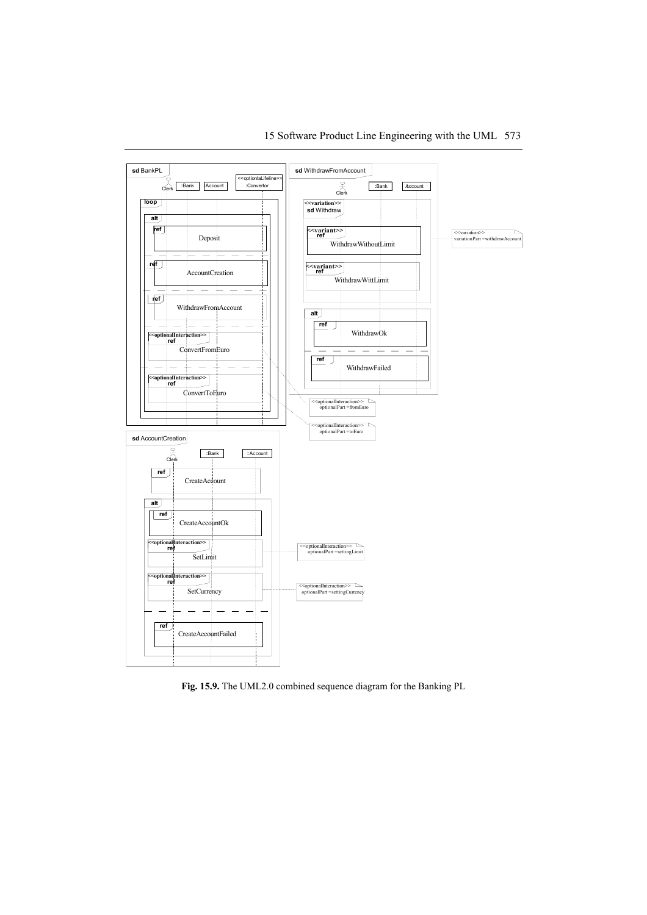

**Fig. 15.9.** The UML2.0 combined sequence diagram for the Banking PL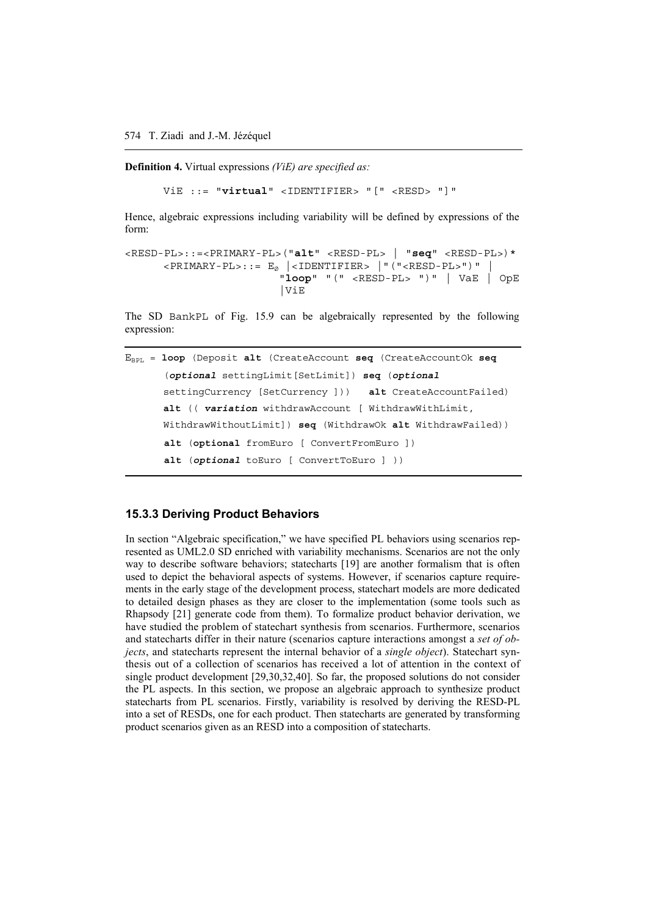**Definition 4.** Virtual expressions *(ViE) are specified as:* 

ViE ::= "**virtual**" <IDENTIFIER> "[" <RESD> "]"

Hence, algebraic expressions including variability will be defined by expressions of the form:

```
<RESD-PL>::=<PRIMARY-PL>("alt" <RESD-PL> | "seq" <RESD-PL>)* 
        \verb|<PPRIMARY-PL>= E_{\emptyset} |<sub>1</sub>IDENTIFIER> |" ("<sub>1</sub> "ESD-PL>)" |"<br>"loop" "(" <RESD-PL> ")" | VaE | OpE
                                    "loop" "(" <RESD-PL> ")" | VaE |
                                    |ViE
```
The SD BankPL of Fig. 15.9 can be algebraically represented by the following expression:

```
EBPL = loop (Deposit alt (CreateAccount seq (CreateAccountOk seq 
       (optional settingLimit[SetLimit]) seq (optional 
      settingCurrency [SetCurrency ])) alt CreateAccountFailed) 
      alt (( variation withdrawAccount [ WithdrawWithLimit, 
      WithdrawWithoutLimit]) seq (WithdrawOk alt WithdrawFailed)) 
      alt (optional fromEuro [ ConvertFromEuro ]) 
      alt (optional toEuro [ ConvertToEuro ] ))
```
### **15.3.3 Deriving Product Behaviors**

In section "Algebraic specification," we have specified PL behaviors using scenarios represented as UML2.0 SD enriched with variability mechanisms. Scenarios are not the only way to describe software behaviors; statecharts [19] are another formalism that is often used to depict the behavioral aspects of systems. However, if scenarios capture requirements in the early stage of the development process, statechart models are more dedicated to detailed design phases as they are closer to the implementation (some tools such as Rhapsody [21] generate code from them). To formalize product behavior derivation, we have studied the problem of statechart synthesis from scenarios. Furthermore, scenarios and statecharts differ in their nature (scenarios capture interactions amongst a *set of objects*, and statecharts represent the internal behavior of a *single object*). Statechart synthesis out of a collection of scenarios has received a lot of attention in the context of single product development [29,30,32,40]. So far, the proposed solutions do not consider the PL aspects. In this section, we propose an algebraic approach to synthesize product statecharts from PL scenarios. Firstly, variability is resolved by deriving the RESD-PL into a set of RESDs, one for each product. Then statecharts are generated by transforming product scenarios given as an RESD into a composition of statecharts.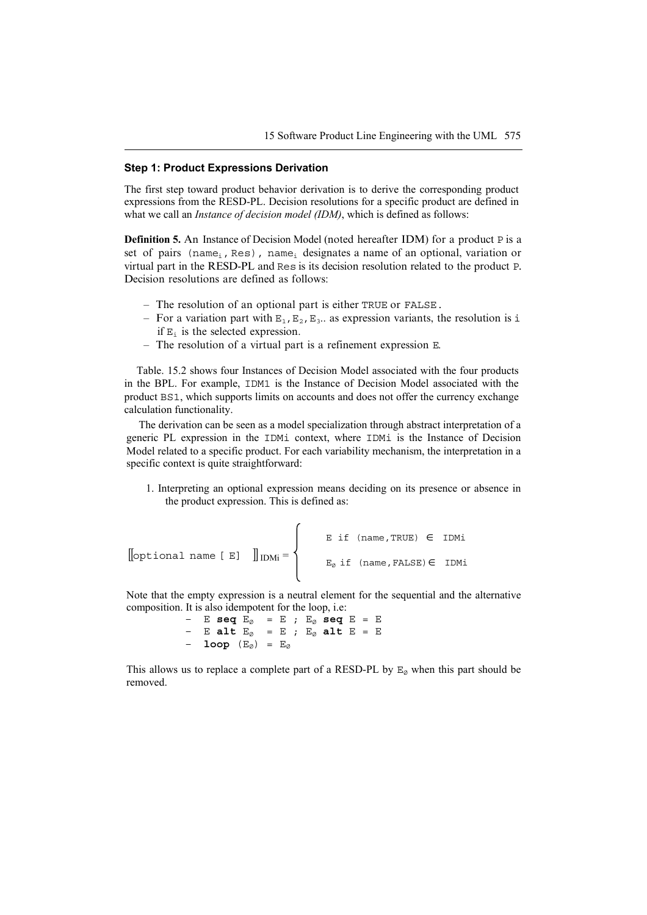### **Step 1: Product Expressions Derivation**

The first step toward product behavior derivation is to derive the corresponding product expressions from the RESD-PL. Decision resolutions for a specific product are defined in what we call an *Instance of decision model (IDM)*, which is defined as follows:

set of pairs (name<sub>i</sub>, Res), name<sub>i</sub> designates a name of an optional, variation or **Definition 5.** An Instance of Decision Model (noted hereafter IDM) for a product P is a virtual part in the RESD-PL and Res is its decision resolution related to the product P. Decision resolutions are defined as follows:

- The resolution of an optional part is either TRUE or FALSE.
- $-$  For a variation part with  $E_1, E_2, E_3$ . as expression variants, the resolution is i if  $E_i$  is the selected expression.
- The resolution of a virtual part is a refinement expression E.

Table. 15.2 shows four Instances of Decision Model associated with the four products in the BPL. For example, IDM1 is the Instance of Decision Model associated with the product BS1, which supports limits on accounts and does not offer the currency exchange calculation functionality.

The derivation can be seen as a model specialization through abstract interpretation of a generic PL expression in the IDMi context, where IDMi is the Instance of Decision Model related to a specific product. For each variability mechanism, the interpretation in a specific context is quite straightforward:

1. Interpreting an optional expression means deciding on its presence or absence in the product expression. This is defined as:

|                                                                                                                    |  |  | $E$ if (name, TRUE) $E$ IDMi                |  |
|--------------------------------------------------------------------------------------------------------------------|--|--|---------------------------------------------|--|
| $\left[\right]$ (optional name [E] $\left[\right]$ $\left[\right]$ $\left[\right]$ $\left[\right]$ $\left[\right]$ |  |  | $E_{\emptyset}$ if (name, FALSE) $\in$ IDMi |  |

Note that the empty expression is a neutral element for the sequential and the alternative composition. It is also idempotent for the loop, i.e:

 $-$  E **seq**  $E_{\emptyset}$  = E ;  $E_{\emptyset}$  **seq** E = E  $-$  E **alt**  $E_{\emptyset}$  = E ;  $E_{\emptyset}$  **alt** E = E – **loop**  $(E_{\emptyset}) = E_{\emptyset}$ 

This allows us to replace a complete part of a RESD-PL by  $E_{\emptyset}$  when this part should be removed.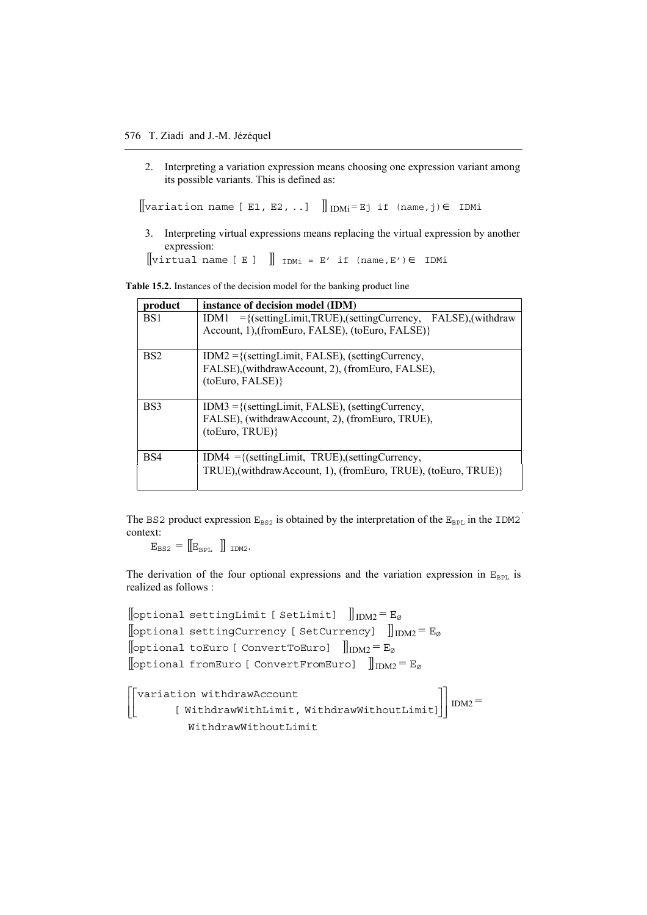2. Interpreting a variation expression means choosing one expression variant among its possible variants. This is defined as:

 $[[variation name [ E1, E2, . . ] ]$   $]]$   $IDMi = Ej$  if  $(name, j) \in IDMi$ 

3. Interpreting virtual expressions means replacing the virtual expression by another expression:

 $[[\text{virtual name } [ E ] \]]_{\text{IDMi}} = E' \text{ if } (\text{name}, E') \in \text{IDMi}$ 

**Table 15.2.** Instances of the decision model for the banking product line

| product         | instance of decision model (IDM)                                                                                           |
|-----------------|----------------------------------------------------------------------------------------------------------------------------|
| BS1             | $IDM1 = \{(settingLimit, TRUE), (settingCurrent, FALSE), (with draw$<br>Account, 1), (fromEuro, FALSE), (toEuro, FALSE)}   |
| B <sub>S2</sub> | $IDM2 = \{(settingLimit, FALSE), (settingCurrent,$<br>FALSE), (withdrawAccount, 2), (fromEuro, FALSE),<br>(toEuro, FALSE)} |
| BS3             | IDM3 = {(settingLimit, FALSE), (settingCurrency,<br>FALSE), (withdrawAccount, 2), (fromEuro, TRUE),<br>(toEuro, TRUE)}     |
| B <sub>S4</sub> | IDM4 = {(settingLimit, TRUE),(settingCurrency,<br>TRUE), (withdrawAccount, 1), (fromEuro, TRUE), (toEuro, TRUE)}           |

The BS2 product expression  $E_{BS2}$  is obtained by the interpretation of the  $E_{BPL}$  in the IDM2 context:

 $E_{BS2} = \begin{bmatrix} E_{BPI} \end{bmatrix}$  IDM2.

The derivation of the four optional expressions and the variation expression in  $E_{BPL}$  is realized as follows :

 $[$ [optional settingLimit [ SetLimit]  $]$  $|_{IDM2} = E_{\emptyset}$  $[$ [optional settingCurrency [ SetCurrency]  $]$   $]_{IDM2} =$   $E_{\emptyset}$  $[$ [optional toEuro [ ConvertToEuro]  $]$  $|_{IDM2} =$   $E_{\emptyset}$  $\left[ \right]$  [optional fromEuro [ ConvertFromEuro]  $\left[ \right]$   $\left[ \right]$   $\left[ \right]$   $\left[ \right]$   $\left[ \right]$   $\left[ \right]$   $\left[ \right]$   $\left[ \right]$   $\left[ \right]$   $\left[ \right]$   $\left[ \right]$   $\left[ \right]$   $\left[ \right]$   $\left[ \right]$   $\left[ \right]$   $\left[ \right]$   $\left[ \right]$   $\left[ \right]$   $\left[ \right]$   $\left$ 

 $\begin{array}{c} \hline \end{array}$ ⎦ ⎤  $\parallel$ ⎣  $\begin{bmatrix} \texttt{variation without} \\ \texttt{[} \end{bmatrix} \end{bmatrix}$  $\overline{\phantom{a}}$  $\mathsf{L}$  [ WithdrawWithLimit, WithdrawWithoutLimit] variation withdrawAccount  $_{IDM2}$  = WithdrawWithoutLimit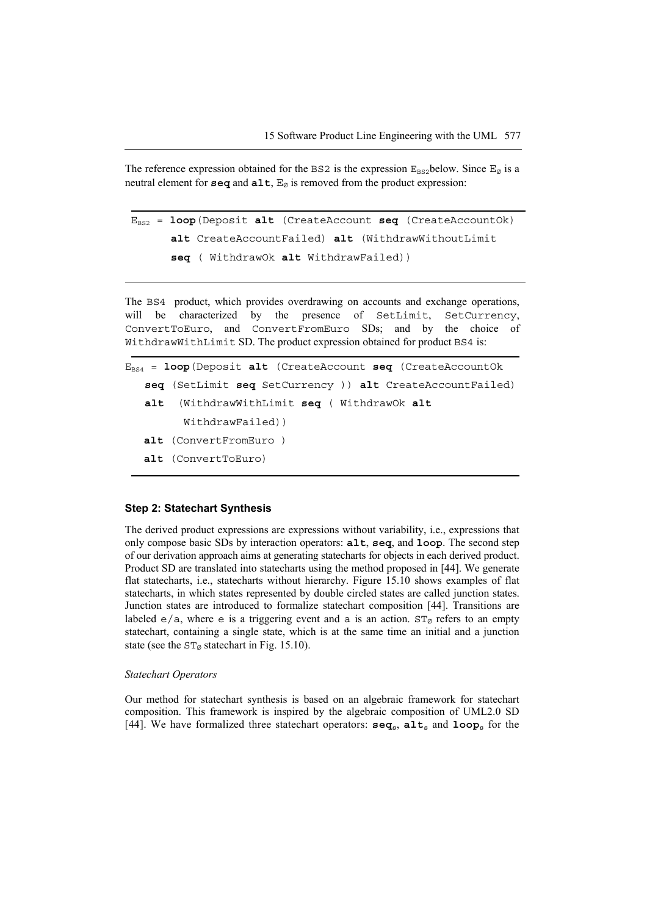The reference expression obtained for the BS2 is the expression  $E_{BS2}$ below. Since  $E_{\emptyset}$  is a neutral element for  $\text{seq}$  and  $\text{alt}$ ,  $E_{\emptyset}$  is removed from the product expression:

 EBS2 = **loop**(Deposit **alt** (CreateAccount **seq** (CreateAccountOk) **alt** CreateAccountFailed) **alt** (WithdrawWithoutLimit **seq** ( WithdrawOk **alt** WithdrawFailed))

The BS4 product, which provides overdrawing on accounts and exchange operations, will be characterized by the presence of SetLimit, SetCurrency, ConvertToEuro, and ConvertFromEuro SDs; and by the choice of WithdrawWithLimit SD. The product expression obtained for product BS4 is:

```
EBS4
 = loop(Deposit alt (CreateAccount seq (CreateAccountOk  seq (SetLimit seq SetCurrency )) alt CreateAccountFailed) 
    alt (WithdrawWithLimit seq ( WithdrawOk alt 
          WithdrawFailed)) 
    alt (ConvertFromEuro ) 
    alt (ConvertToEuro)
```
#### **Step 2: Statechart Synthesis**

The derived product expressions are expressions without variability, i.e., expressions that only compose basic SDs by interaction operators: **alt**, **seq**, and **loop**. The second step of our derivation approach aims at generating statecharts for objects in each derived product. Product SD are translated into statecharts using the method proposed in [44]. We generate flat statecharts, i.e., statecharts without hierarchy. Figure 15.10 shows examples of flat statecharts, in which states represented by double circled states are called junction states. Junction states are introduced to formalize statechart composition [44]. Transitions are labeled  $e/a$ , where e is a triggering event and a is an action.  $ST_{\varnothing}$  refers to an empty statechart, containing a single state, which is at the same time an initial and a junction state (see the  $ST_{\emptyset}$  statechart in Fig. 15.10).

#### *Statechart Operators*

Our method for statechart synthesis is based on an algebraic framework for statechart composition. This framework is inspired by the algebraic composition of UML2.0 SD [44]. We have formalized three statechart operators: **seqs**, **alts** and **loops** for the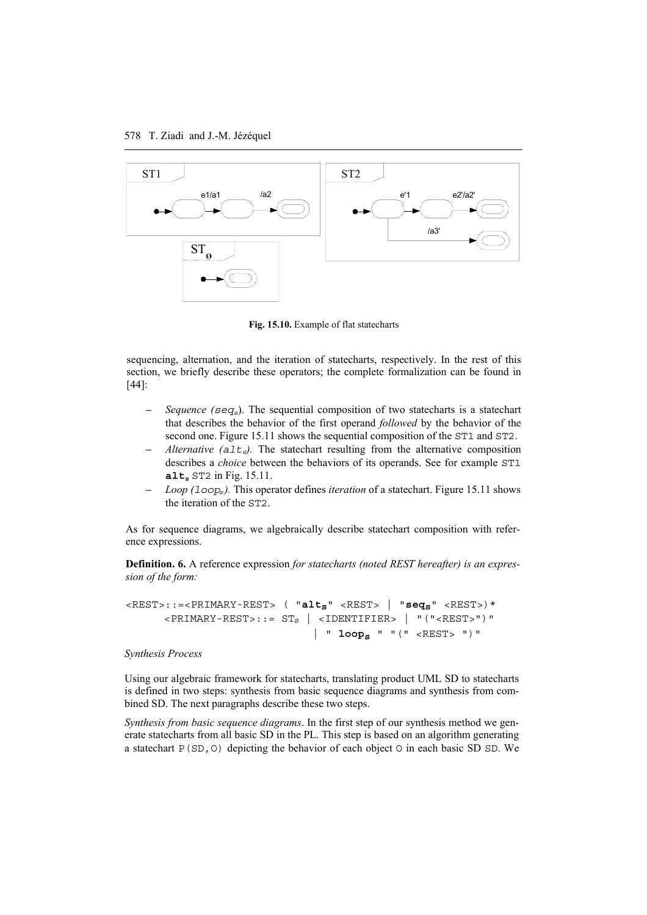

**Fig. 15.10.** Example of flat statecharts

section, we briefly describe these operators; the complete formalization can be found in [44]: sequencing, alternation, and the iteration of statecharts, respectively. In the rest of this

- *Sequence (* $\text{seq}_s$ *).* The sequential composition of two statecharts is a statechart that describes the behavior of the first operand *followed* by the behavior of the second one. Figure 15.11 shows the sequential composition of the ST1 and ST2.
- Alternative ( $a \perp t_s$ ). The statechart resulting from the alternative composition describes a *choice* between the behaviors of its operands. See for example ST1 **alts** ST2 in Fig. 15.11.
- *<sup>s</sup> Loop (loop ).* This operator defines *iteration* of a statechart. Figure 15.11 shows the iteration of the ST2.

As for sequence diagrams, we algebraically describe statechart composition with reference expressions.

**Definition. 6.** A reference expression *for statecharts (noted REST hereafter) is an expression of the form:* 

```
<REST>::=<PRIMARY-REST> ( "alts" <REST> | "seqs" <REST>)* 
       \leqPRIMARY-REST>::= ST_{\emptyset} | \leqIDENTIFIER> | "("\leqREST>")"
                                   | " loops " "(" <REST> ")"
```
### *Synthesis Process*

Using our algebraic framework for statecharts, translating product UML SD to statecharts is defined in two steps: synthesis from basic sequence diagrams and synthesis from combined SD. The next paragraphs describe these two steps.

*Synthesis from basic sequence diagrams*. In the first step of our synthesis method we generate statecharts from all basic SD in the PL. This step is based on an algorithm generating a statechart P(SD,O) depicting the behavior of each object O in each basic SD SD. We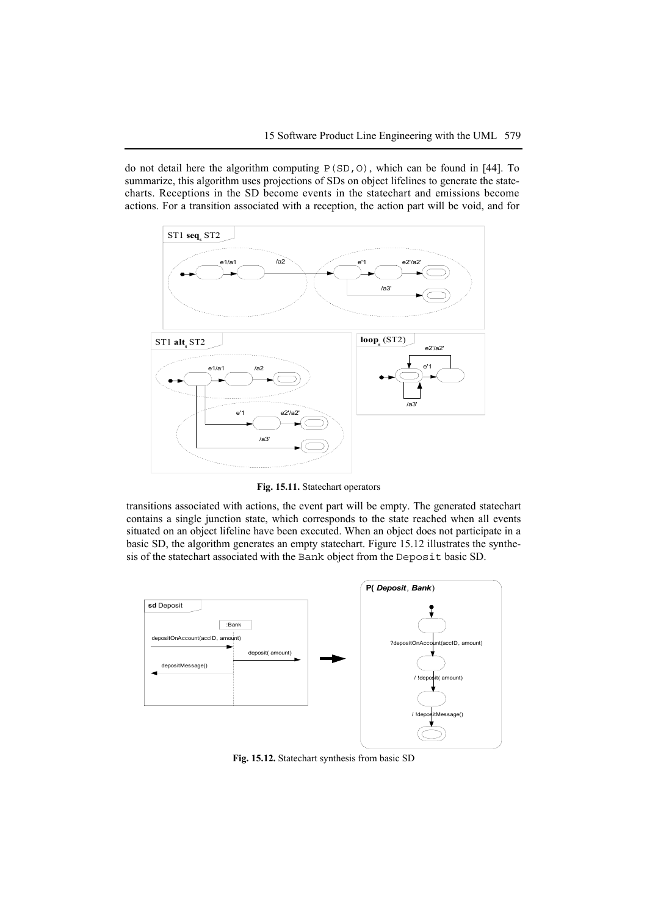do not detail here the algorithm computing  $P(SD, O)$ , which can be found in [44]. To summarize, this algorithm uses projections of SDs on object lifelines to generate the statecharts. Receptions in the SD become events in the statechart and emissions become actions. For a transition associated with a reception, the action part will be void, and for



**Fig. 15.11.** Statechart operators

transitions associated with actions, the event part will be empty. The generated statechart contains a single junction state, which corresponds to the state reached when all events situated on an object lifeline have been executed. When an object does not participate in a basic SD, the algorithm generates an empty statechart. Figure 15.12 illustrates the synthesis of the statechart associated with the Bank object from the Deposit basic SD.



**Fig. 15.12.** Statechart synthesis from basic SD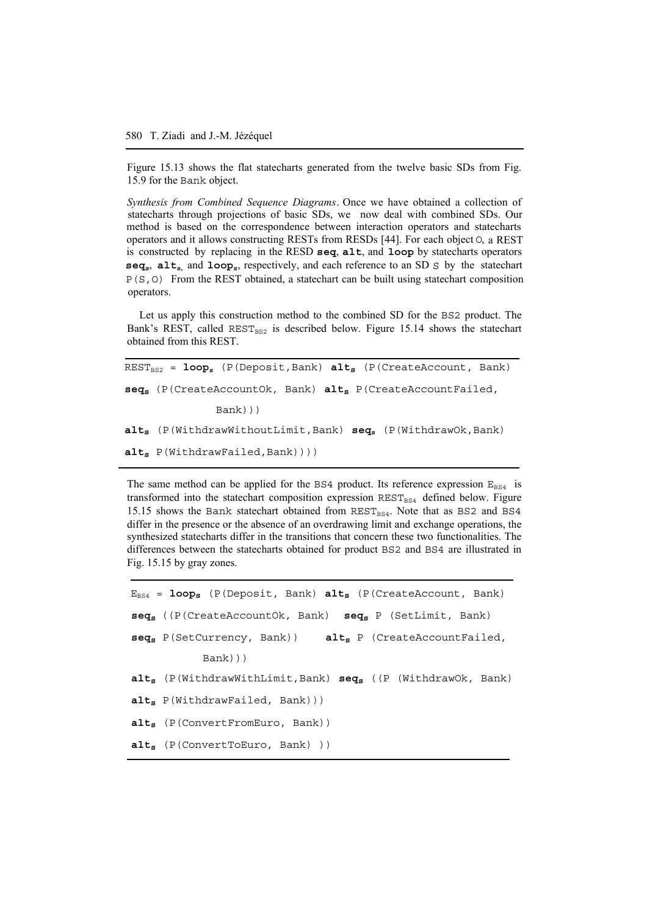Figure 15.13 shows the flat statecharts generated from the twelve basic SDs from Fig. 15.9 for the Bank object.

operators and it allows constructing RESTs from RESDs [44]. For each object  $\circ$ , a REST  $\mathbf{s} \in \mathbf{q}_s$ , alt<sub>s</sub>, and loop<sub>s</sub>, respectively, and each reference to an SD S by the statechart Synthesis from Combined Sequence Diagrams. Once we have obtained a collection of method is based on the correspondence between interaction operators and statecharts is constructed by replacing in the RESD **seq**, alt, and loop by statecharts operators operators. P(S,O) From the REST obtained, a statechart can be built using statechart composition statecharts through projections of basic SDs, we now deal with combined SDs. Our

Let us apply this construction method to the combined SD for the BS2 product. The Bank's REST, called REST<sub>BS2</sub> is described below. Figure 15.14 shows the statechart obtained from this REST.

```
RESTBS2 = loops (P(Deposit,Bank) alts (P(CreateAccount, Bank) 
seqs (P(CreateAccountOk, Bank) alts P(CreateAccountFailed, 
               Bank))) 
alts (P(WithdrawWithoutLimit,Bank) seqs (P(WithdrawOk,Bank) 
alts P(WithdrawFailed,Bank))))
```
The same method can be applied for the BS4 product. Its reference expression  $E_{BS4}$  is transformed into the statechart composition expression  $REST_{BS4}$  defined below. Figure 15.15 shows the Bank statechart obtained from  $REST<sub>BSA</sub>$ . Note that as BS2 and BS4 differ in the presence or the absence of an overdrawing limit and exchange operations, the synthesized statecharts differ in the transitions that concern these two functionalities. The differences between the statecharts obtained for product BS2 and BS4 are illustrated in Fig. 15.15 by gray zones.

```
 EBS4 = loops (P(Deposit, Bank) alts (P(CreateAccount, Bank) 
seqs ((P(CreateAccountOk, Bank) seqs P (SetLimit, Bank) 
seqs P(SetCurrency, Bank)) alts P (CreateAccountFailed, 
            Bank))) 
 alts (P(WithdrawWithLimit,Bank) seqs ((P (WithdrawOk, Bank) 
alts P(WithdrawFailed, Bank))) 
 alts (P(ConvertFromEuro, Bank)) 
 alts (P(ConvertToEuro, Bank) ))
```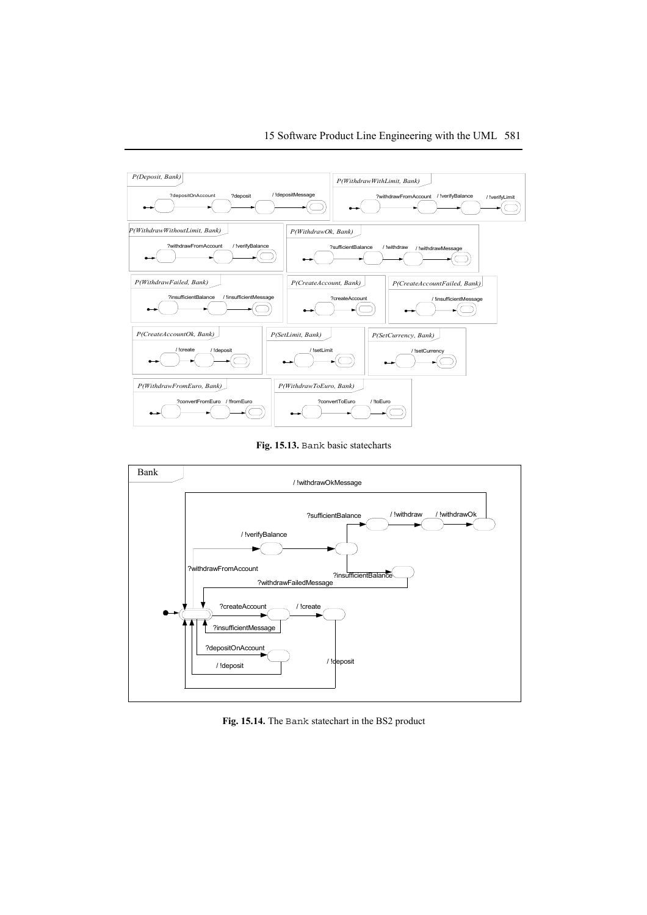

**Fig. 15.13.** Bank basic statecharts



**Fig. 15.14.** The Bank statechart in the BS2 product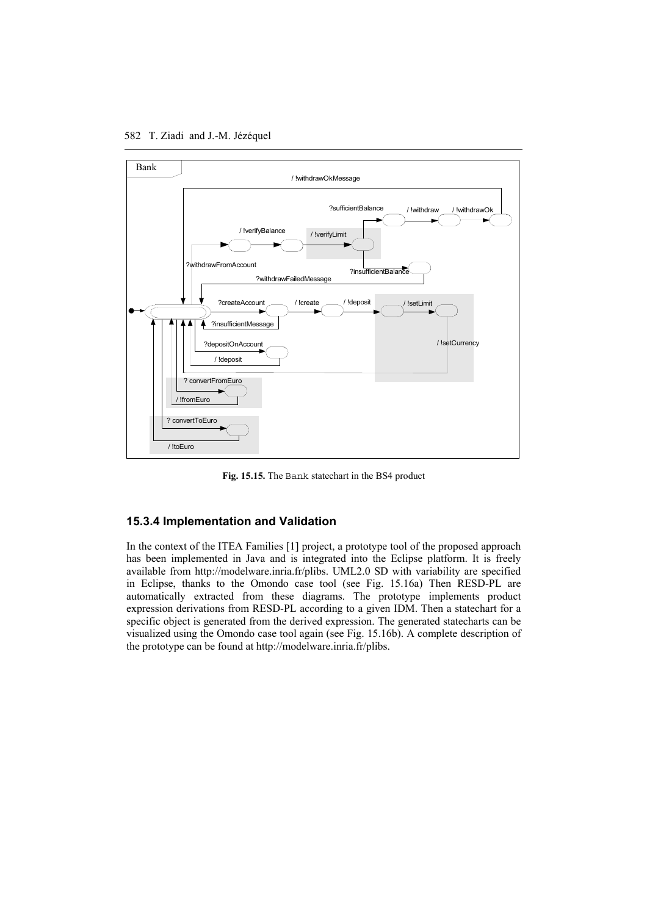

**Fig. 15.15.** The Bank statechart in the BS4 product

## **15.3.4 Implementation and Validation**

In the context of the ITEA Families [1] project, a prototype tool of the proposed approach has been implemented in Java and is integrated into the Eclipse platform. It is freely available from http://modelware.inria.fr/plibs. UML2.0 SD with variability are specified in Eclipse, thanks to the Omondo case tool (see Fig. 15.16a) Then RESD-PL are automatically extracted from these diagrams. The prototype implements product expression derivations from RESD-PL according to a given IDM. Then a statechart for a specific object is generated from the derived expression. The generated statecharts can be visualized using the Omondo case tool again (see Fig. 15.16b). A complete description of the prototype can be found at http://modelware.inria.fr/plibs.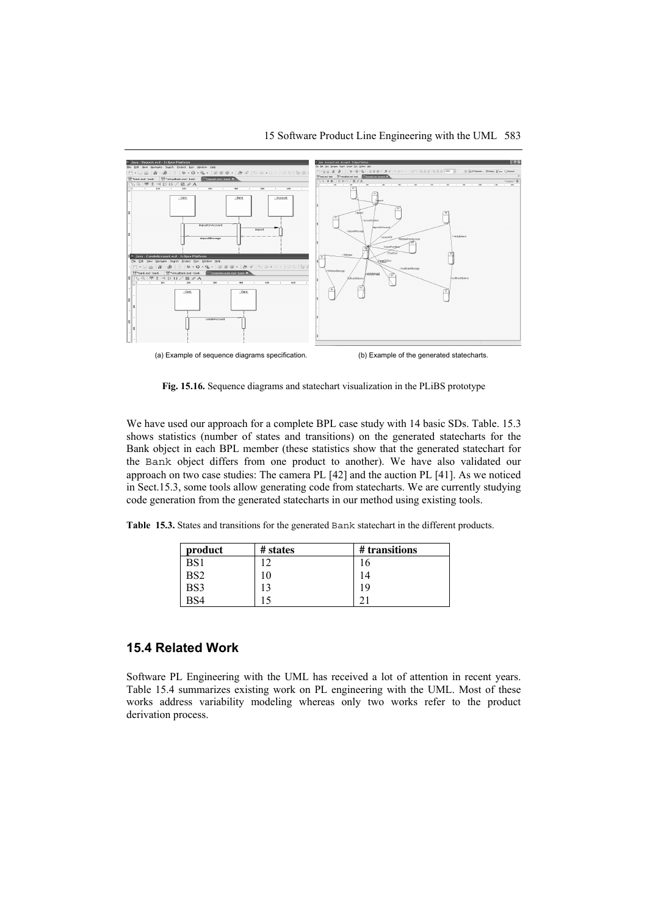

**Fig. 15.16.** Sequence diagrams and statechart visualization in the PLiBS prototype

We have used our approach for a complete BPL case study with 14 basic SDs. Table. 15.3 shows statistics (number of states and transitions) on the generated statecharts for the Bank object in each BPL member (these statistics show that the generated statechart for the Bank object differs from one product to another). We have also validated our approach on two case studies: The camera PL [42] and the auction PL [41]. As we noticed in Sect.15.3, some tools allow generating code from statecharts. We are currently studying code generation from the generated statecharts in our method using existing tools.

|  |  | Table 15.3. States and transitions for the generated Bank state chart in the different products. |  |  |  |  |  |
|--|--|--------------------------------------------------------------------------------------------------|--|--|--|--|--|
|--|--|--------------------------------------------------------------------------------------------------|--|--|--|--|--|

| product         | # states       | # transitions |
|-----------------|----------------|---------------|
| BS1             | $\overline{2}$ | 16            |
| BS <sub>2</sub> | 10             |               |
| BS3             | 13             | 19            |
| RS4             |                |               |

## **15.4 Related Work**

Software PL Engineering with the UML has received a lot of attention in recent years. Table 15.4 summarizes existing work on PL engineering with the UML. Most of these works address variability modeling whereas only two works refer to the product derivation process.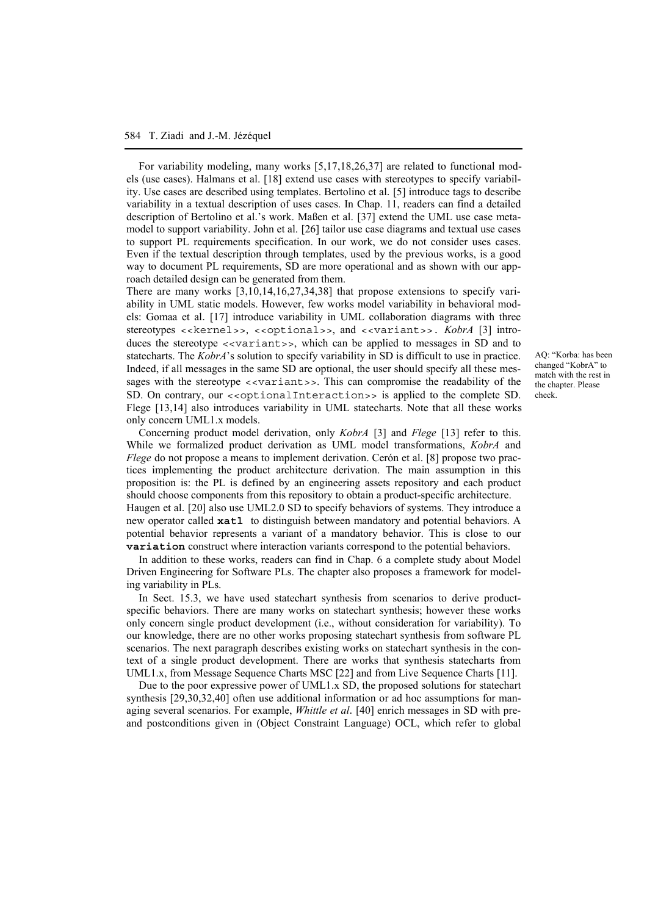els (use cases). Halmans et al. [18] extend use cases with stereotypes to specify variability. Use cases are described using templates. Bertolino et al. [5] introduce tags to describe variability in a textual description of uses cases. In Chap. 11, readers can find a detailed description of Bertolino et al.'s work. Maßen et al. [37] extend the UML use case metamodel to support variability. John et al. [26] tailor use case diagrams and textual use cases to support PL requirements specification. In our work, we do not consider uses cases. Even if the textual description through templates, used by the previous works, is a good way to document PL requirements, SD are more operational and as shown with our approach detailed design can be generated from them. For variability modeling, many works [5,17,18,26,37] are related to functional mod-

ability in UML static models. However, few works model variability in behavioral models: Gomaa et al. [17] introduce variability in UML collaboration diagrams with three stereotypes <<kernel>>, <<optional>>, and <<variant>>. *KobrA* [3] introduces the stereotype  $\langle \langle \nabla \rangle$  =  $\rangle$ , which can be applied to messages in SD and to statecharts. The *KobrA*'s solution to specify variability in SD is difficult to use in practice. Indeed, if all messages in the same SD are optional, the user should specify all these messages with the stereotype  $\langle$ - $\lor$ ariant>>. This can compromise the readability of the SD. On contrary, our  $\le$  optional Interaction>> is applied to the complete SD. only concern UML1.x models. There are many works [3,10,14,16,27,34,38] that propose extensions to specify vari-Flege [13,14] also introduces variability in UML statecharts. Note that all these works

Concerning product model derivation, only *KobrA* [3] and *Flege* [13] refer to this. While we formalized product derivation as UML model transformations, *KobrA* and *Flege* do not propose a means to implement derivation. Cerón et al. [8] propose two practices implementing the product architecture derivation. The main assumption in this proposition is: the PL is defined by an engineering assets repository and each product should choose components from this repository to obtain a product-specific architecture. Haugen et al. [20] also use UML2.0 SD to specify behaviors of systems. They introduce a new operator called **xatl** to distinguish between mandatory and potential behaviors. A potential behavior represents a variant of a mandatory behavior. This is close to our **variation** construct where interaction variants correspond to the potential behaviors.

In addition to these works, readers can find in Chap. 6 a complete study about Model Driven Engineering for Software PLs. The chapter also proposes a framework for modeling variability in PLs.

In Sect. 15.3, we have used statechart synthesis from scenarios to derive productspecific behaviors. There are many works on statechart synthesis; however these works only concern single product development (i.e., without consideration for variability). To our knowledge, there are no other works proposing statechart synthesis from software PL scenarios. The next paragraph describes existing works on statechart synthesis in the context of a single product development. There are works that synthesis statecharts from UML1.x, from Message Sequence Charts MSC [22] and from Live Sequence Charts [11].

Due to the poor expressive power of UML1.x SD, the proposed solutions for statechart aging several scenarios. For example, *Whittle et al*. [40] enrich messages in SD with preand postconditions given in (Object Constraint Language) OCL, which refer to global synthesis [29,30,32,40] often use additional information or ad hoc assumptions for manAQ: "Korba: has been changed "KobrA" to match with the rest in the chapter. Please check.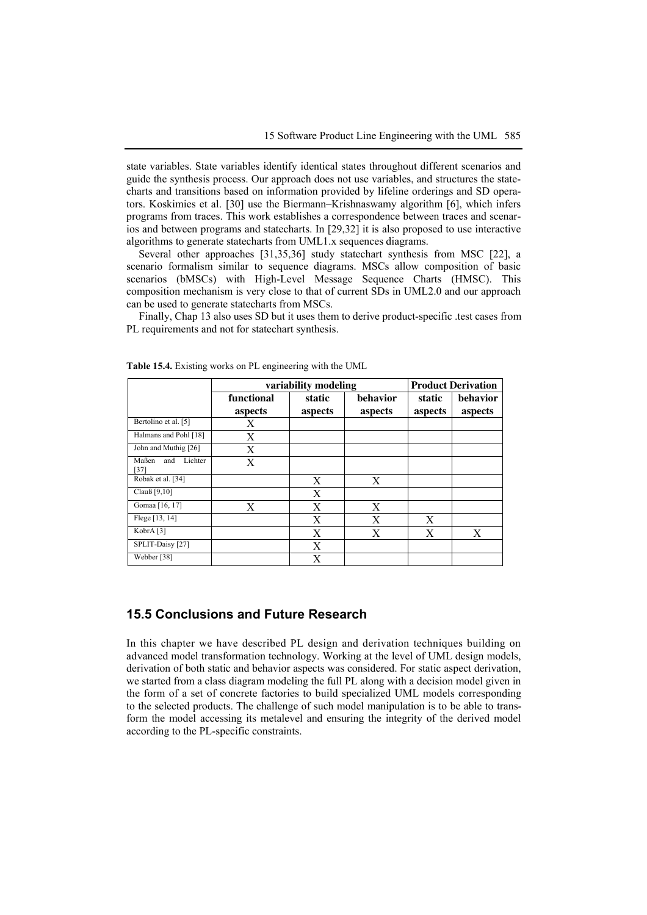state variables. State variables identify identical states throughout different scenarios and guide the synthesis process. Our approach does not use variables, and structures the statecharts and transitions based on information provided by lifeline orderings and SD operators. Koskimies et al. [30] use the Biermann–Krishnaswamy algorithm [6], which infers programs from traces. This work establishes a correspondence between traces and scenarios and between programs and statecharts. In [29,32] it is also proposed to use interactive algorithms to generate statecharts from UML1.x sequences diagrams.

Several other approaches [31,35,36] study statechart synthesis from MSC [22], a scenario formalism similar to sequence diagrams. MSCs allow composition of basic scenarios (bMSCs) with High-Level Message Sequence Charts (HMSC). This composition mechanism is very close to that of current SDs in UML2.0 and our approach can be used to generate statecharts from MSCs.

PL requirements and not for statechart synthesis. Finally, Chap 13 also uses SD but it uses them to derive product-specific .test cases from

|                                 | variability modeling  |                   |                     | <b>Product Derivation</b> |                     |
|---------------------------------|-----------------------|-------------------|---------------------|---------------------------|---------------------|
|                                 | functional<br>aspects | static<br>aspects | behavior<br>aspects | static<br>aspects         | behavior<br>aspects |
| Bertolino et al. [5]            | X                     |                   |                     |                           |                     |
| Halmans and Pohl [18]           | X                     |                   |                     |                           |                     |
| John and Muthig [26]            | X                     |                   |                     |                           |                     |
| Lichter<br>Maßen<br>and<br>[37] | X                     |                   |                     |                           |                     |
| Robak et al. [34]               |                       | X                 | X                   |                           |                     |
| Clauß [9,10]                    |                       | X                 |                     |                           |                     |
| Gomaa [16, 17]                  | X                     | X                 | X                   |                           |                     |
| Flege [13, 14]                  |                       | X                 | X                   | X                         |                     |
| KobrA [3]                       |                       | Χ                 | X                   | X                         | X                   |
| SPLIT-Daisy [27]                |                       | X                 |                     |                           |                     |
| Webber [38]                     |                       | X                 |                     |                           |                     |

**Table 15.4.** Existing works on PL engineering with the UML

## **15.5 Conclusions and Future Research**

In this chapter we have described PL design and derivation techniques building on advanced model transformation technology. Working at the level of UML design models, derivation of both static and behavior aspects was considered. For static aspect derivation, we started from a class diagram modeling the full PL along with a decision model given in according to the PL-specific constraints. the form of a set of concrete factories to build specialized UML models corresponding to the selected products. The challenge of such model manipulation is to be able to transform the model accessing its metalevel and ensuring the integrity of the derived model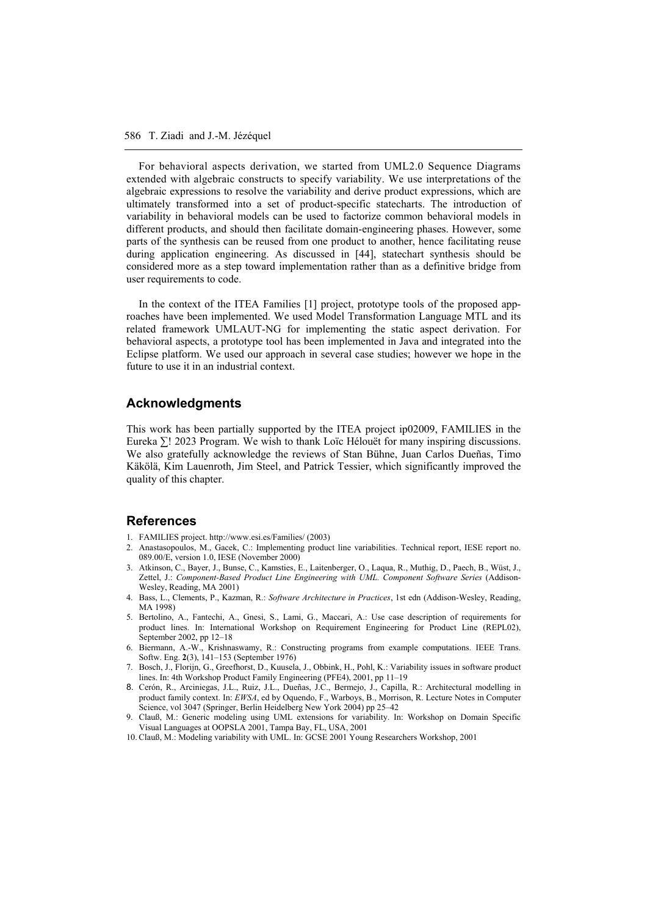For behavioral aspects derivation, we started from UML2.0 Sequence Diagrams extended with algebraic constructs to specify variability. We use interpretations of the algebraic expressions to resolve the variability and derive product expressions, which are ultimately transformed into a set of product-specific statecharts. The introduction of variability in behavioral models can be used to factorize common behavioral models in different products, and should then facilitate domain-engineering phases. However, some parts of the synthesis can be reused from one product to another, hence facilitating reuse during application engineering. As discussed in [44], statechart synthesis should be considered more as a step toward implementation rather than as a definitive bridge from user requirements to code.

In the context of the ITEA Families [1] project, prototype tools of the proposed approaches have been implemented. We used Model Transformation Language MTL and its related framework UMLAUT-NG for implementing the static aspect derivation. For behavioral aspects, a prototype tool has been implemented in Java and integrated into the Eclipse platform. We used our approach in several case studies; however we hope in the future to use it in an industrial context.

## **Acknowledgments**

This work has been partially supported by the ITEA project ip02009, FAMILIES in the Eureka  $\Sigma$ ! 2023 Program. We wish to thank Loïc Hélouët for many inspiring discussions. We also gratefully acknowledge the reviews of Stan Bühne, Juan Carlos Dueñas, Timo Käkölä, Kim Lauenroth, Jim Steel, and Patrick Tessier, which significantly improved the quality of this chapter.

#### **References**

- 1. FAMILIES project. http://www.esi.es/Families/ (2003)
- 2. Anastasopoulos, M., Gacek, C.: Implementing product line variabilities. Technical report, IESE report no. 089.00/E, version 1.0, IESE (November 2000)
- 3. Atkinson, C., Bayer, J., Bunse, C., Kamsties, E., Laitenberger, O., Laqua, R., Muthig, D., Paech, B., Wüst, J., Zettel, J.: *Component-Based Product Line Engineering with UML. Component Software Series* (Addison-Wesley, Reading, MA 2001)
- 4. Bass, L., Clements, P., Kazman, R.: *Software Architecture in Practices*, 1st edn (Addison-Wesley, Reading, MA 1998)
- 5. Bertolino, A., Fantechi, A., Gnesi, S., Lami, G., Maccari, A.: Use case description of requirements for product lines. In: International Workshop on Requirement Engineering for Product Line (REPL02), September 2002, pp 12–18
- 6. Biermann, A.-W., Krishnaswamy, R.: Constructing programs from example computations. IEEE Trans. Softw. Eng. **2**(3), 141–153 (September 1976)
- 7. Bosch, J., Florijn, G., Greefhorst, D., Kuusela, J., Obbink, H., Pohl, K.: Variability issues in software product lines. In: 4th Workshop Product Family Engineering (PFE4), 2001, pp 11–19
- 8. Cerón, R., Arciniegas, J.L., Ruiz, J.L., Dueñas, J.C., Bermejo, J., Capilla, R.: Architectural modelling in product family context. In: *EWSA*, ed by Oquendo, F., Warboys, B., Morrison, R. Lecture Notes in Computer Science, vol 3047 (Springer, Berlin Heidelberg New York 2004) pp 25–42
- 9. Clauß, M.: Generic modeling using UML extensions for variability. In: Workshop on Domain Specific Visual Languages at OOPSLA 2001, Tampa Bay, FL, USA, 2001
- 10. Clauß, M.: Modeling variability with UML. In: GCSE 2001 Young Researchers Workshop, 2001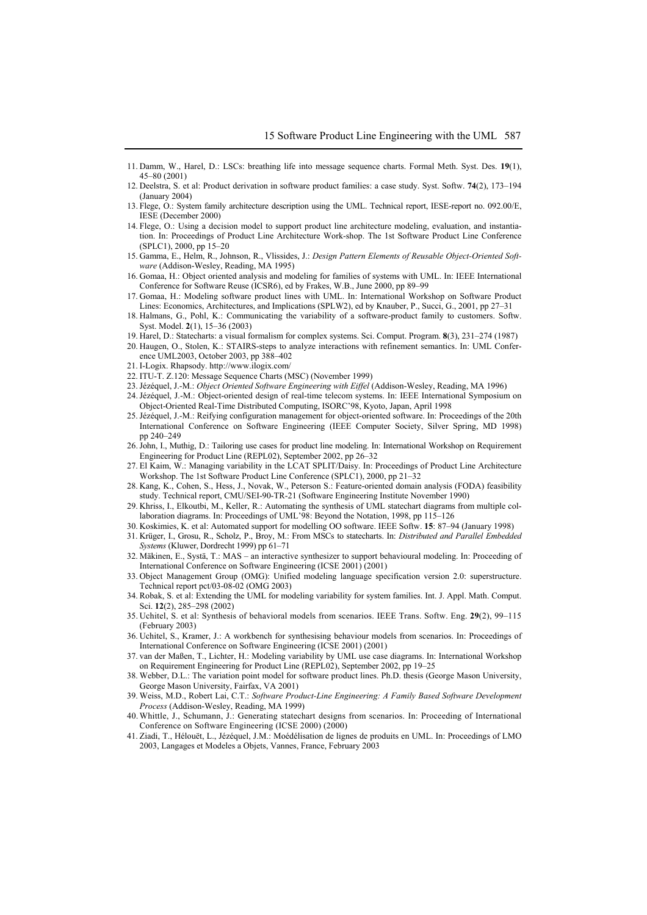- 11. Damm, W., Harel, D.: LSCs: breathing life into message sequence charts. Formal Meth. Syst. Des. **19**(1), 45–80 (2001)
- 12. Deelstra, S. et al: Product derivation in software product families: a case study. Syst. Softw. **74**(2), 173–194 (January 2004)
- 13. Flege, O.: System family architecture description using the UML. Technical report, IESE-report no. 092.00/E, IESE (December 2000)
- 14. Flege, O.: Using a decision model to support product line architecture modeling, evaluation, and instantiation. In: Proceedings of Product Line Architecture Work-shop. The 1st Software Product Line Conference (SPLC1), 2000, pp 15–20
- 15. Gamma, E., Helm, R., Johnson, R., Vlissides, J.: *Design Pattern Elements of Reusable Object-Oriented Software* (Addison-Wesley, Reading, MA 1995)
- 16. Gomaa, H.: Object oriented analysis and modeling for families of systems with UML. In: IEEE International Conference for Software Reuse (ICSR6), ed by Frakes, W.B., June 2000, pp 89–99
- 17. Gomaa, H.: Modeling software product lines with UML. In: International Workshop on Software Product Lines: Economics, Architectures, and Implications (SPLW2), ed by Knauber, P., Succi, G., 2001, pp 27–31
- 18. Halmans, G., Pohl, K.: Communicating the variability of a software-product family to customers. Softw. Syst. Model. **2**(1), 15–36 (2003)
- 19. Harel, D.: Statecharts: a visual formalism for complex systems. Sci. Comput. Program. **8**(3), 231–274 (1987)
- 20. Haugen, O., Stolen, K.: STAIRS-steps to analyze interactions with refinement semantics. In: UML Conference UML2003, October 2003, pp 388–402
- 21. I-Logix. Rhapsody. http://www.ilogix.com/
- 22. ITU-T. Z.120: Message Sequence Charts (MSC) (November 1999)
- 23. Jézéquel, J.-M.: *Object Oriented Software Engineering with Eiffel* (Addison-Wesley, Reading, MA 1996)
- 24. Jézéquel, J.-M.: Object-oriented design of real-time telecom systems. In: IEEE International Symposium on Object-Oriented Real-Time Distributed Computing, ISORC'98, Kyoto, Japan, April 1998
- 25. Jézéquel, J.-M.: Reifying configuration management for object-oriented software. In: Proceedings of the 20th International Conference on Software Engineering (IEEE Computer Society, Silver Spring, MD 1998) pp 240–249
- 26. John, I., Muthig, D.: Tailoring use cases for product line modeling. In: International Workshop on Requirement Engineering for Product Line (REPL02), September 2002, pp 26–32
- 27. El Kaim, W.: Managing variability in the LCAT SPLIT/Daisy. In: Proceedings of Product Line Architecture Workshop. The 1st Software Product Line Conference (SPLC1), 2000, pp 21–32
- 28. Kang, K., Cohen, S., Hess, J., Novak, W., Peterson S.: Feature-oriented domain analysis (FODA) feasibility study. Technical report, CMU/SEI-90-TR-21 (Software Engineering Institute November 1990)
- 29. Khriss, I., Elkoutbi, M., Keller, R.: Automating the synthesis of UML statechart diagrams from multiple collaboration diagrams. In: Proceedings of UML'98: Beyond the Notation, 1998, pp 115–126
- 30. Koskimies, K. et al: Automated support for modelling OO software. IEEE Softw. **15**: 87–94 (January 1998)
- 31. Krüger, I., Grosu, R., Scholz, P., Broy, M.: From MSCs to statecharts. In: *Distributed and Parallel Embedded Systems* (Kluwer, Dordrecht 1999) pp 61–71
- 32. Mäkinen, E., Systä, T.: MAS an interactive synthesizer to support behavioural modeling. In: Proceeding of International Conference on Software Engineering (ICSE 2001) (2001)
- 33. Object Management Group (OMG): Unified modeling language specification version 2.0: superstructure. Technical report pct/03-08-02 (OMG 2003)
- 34. Robak, S. et al: Extending the UML for modeling variability for system families. Int. J. Appl. Math. Comput. Sci. **12**(2), 285–298 (2002)
- 35. Uchitel, S. et al: Synthesis of behavioral models from scenarios. IEEE Trans. Softw. Eng. **29**(2), 99–115 (February 2003)
- 36. Uchitel, S., Kramer, J.: A workbench for synthesising behaviour models from scenarios. In: Proceedings of International Conference on Software Engineering (ICSE 2001) (2001)
- 37. van der Maßen, T., Lichter, H.: Modeling variability by UML use case diagrams. In: International Workshop on Requirement Engineering for Product Line (REPL02), September 2002, pp 19–25
- 38. Webber, D.L.: The variation point model for software product lines. Ph.D. thesis (George Mason University, George Mason University, Fairfax, VA 2001)
- 39. Weiss, M.D., Robert Lai, C.T.: *Software Product-Line Engineering: A Family Based Software Development Process* (Addison-Wesley, Reading, MA 1999)
- 40. Whittle, J., Schumann, J.: Generating statechart designs from scenarios. In: Proceeding of International Conference on Software Engineering (ICSE 2000) (2000)
- 41. Ziadi, T., Hélouët, L., Jézéquel, J.M.: Moédélisation de lignes de produits en UML. In: Proceedings of LMO 2003, Langages et Modeles a Objets, Vannes, France, February 2003